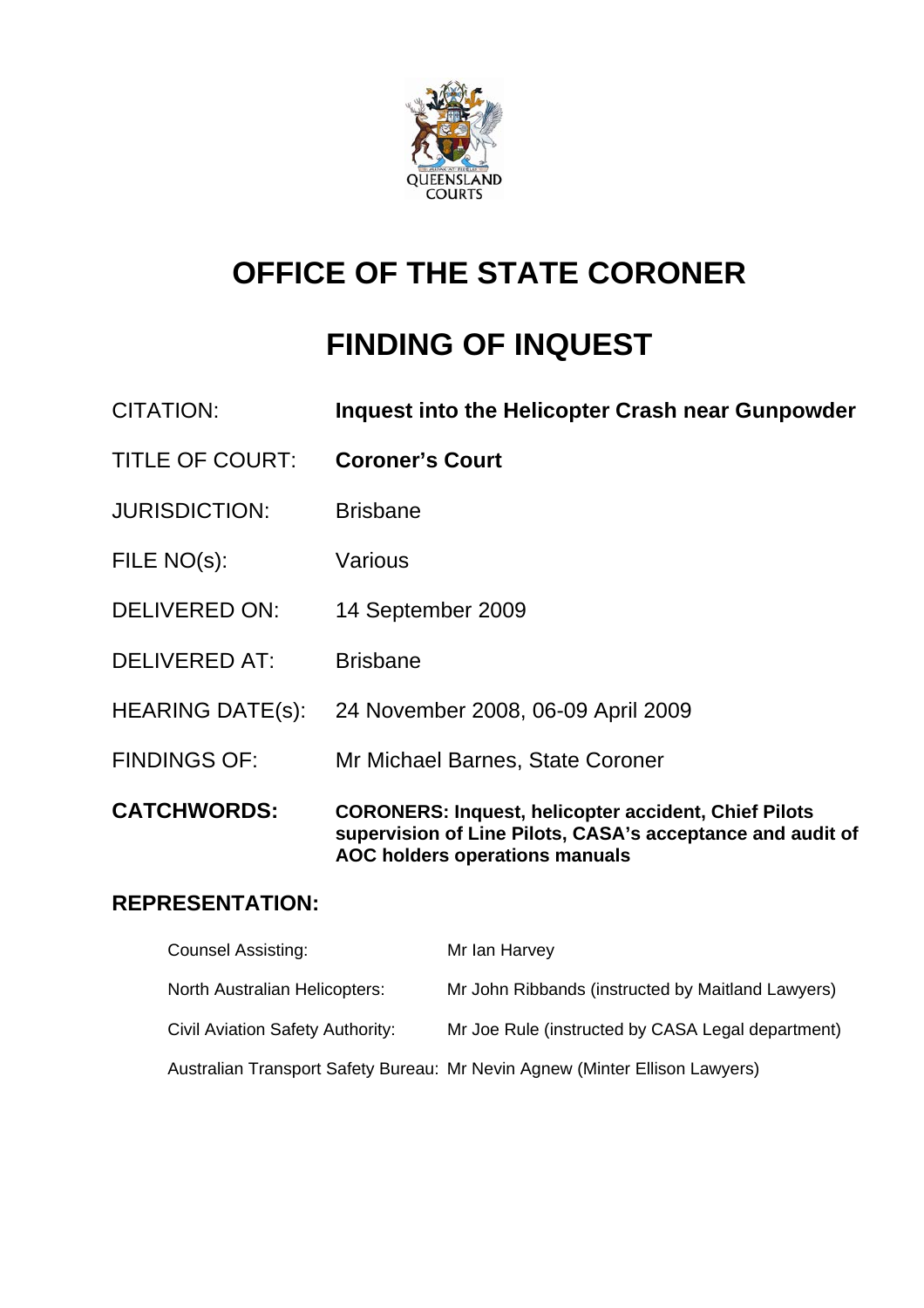

# **OFFICE OF THE STATE CORONER**

# **FINDING OF INQUEST**

| <b>CITATION:</b>        | Inquest into the Helicopter Crash near Gunpowder                                                                                                            |
|-------------------------|-------------------------------------------------------------------------------------------------------------------------------------------------------------|
| <b>TITLE OF COURT:</b>  | <b>Coroner's Court</b>                                                                                                                                      |
| <b>JURISDICTION:</b>    | <b>Brisbane</b>                                                                                                                                             |
| FILE NO(s):             | Various                                                                                                                                                     |
| <b>DELIVERED ON:</b>    | 14 September 2009                                                                                                                                           |
| <b>DELIVERED AT:</b>    | <b>Brisbane</b>                                                                                                                                             |
| <b>HEARING DATE(s):</b> | 24 November 2008, 06-09 April 2009                                                                                                                          |
| <b>FINDINGS OF:</b>     | Mr Michael Barnes, State Coroner                                                                                                                            |
| <b>CATCHWORDS:</b>      | <b>CORONERS: Inquest, helicopter accident, Chief Pilots</b><br>supervision of Line Pilots, CASA's acceptance and audit of<br>AOC holders operations manuals |

### **REPRESENTATION:**

| <b>Counsel Assisting:</b>        | Mr Ian Harvey                                                               |
|----------------------------------|-----------------------------------------------------------------------------|
| North Australian Helicopters:    | Mr John Ribbands (instructed by Maitland Lawyers)                           |
| Civil Aviation Safety Authority: | Mr Joe Rule (instructed by CASA Legal department)                           |
|                                  | Australian Transport Safety Bureau: Mr Nevin Agnew (Minter Ellison Lawyers) |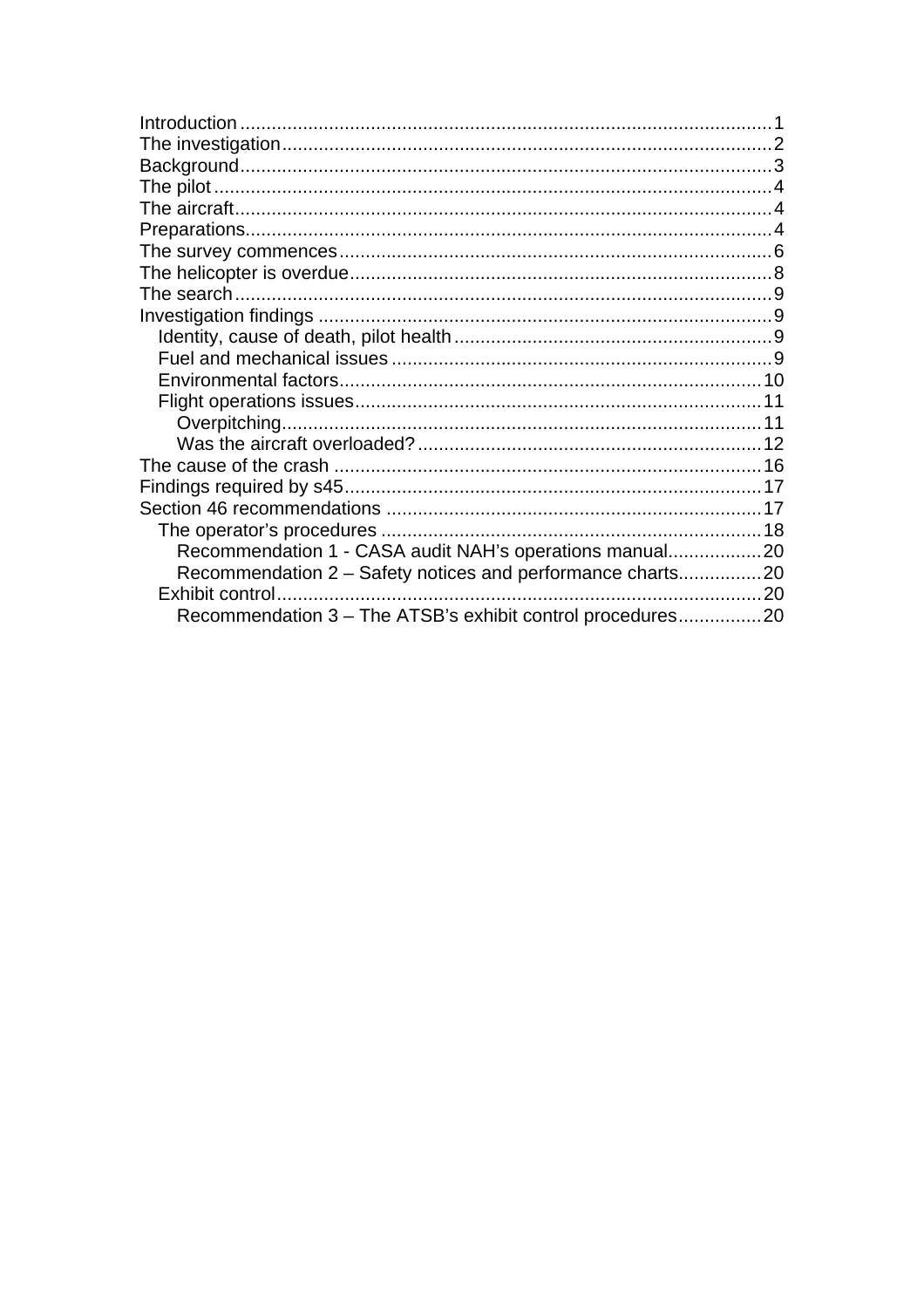| Recommendation 1 - CASA audit NAH's operations manual20    |    |
|------------------------------------------------------------|----|
| Recommendation 2 – Safety notices and performance charts20 |    |
| Exhibit control                                            | 20 |
| Recommendation 3 - The ATSB's exhibit control procedures20 |    |
|                                                            |    |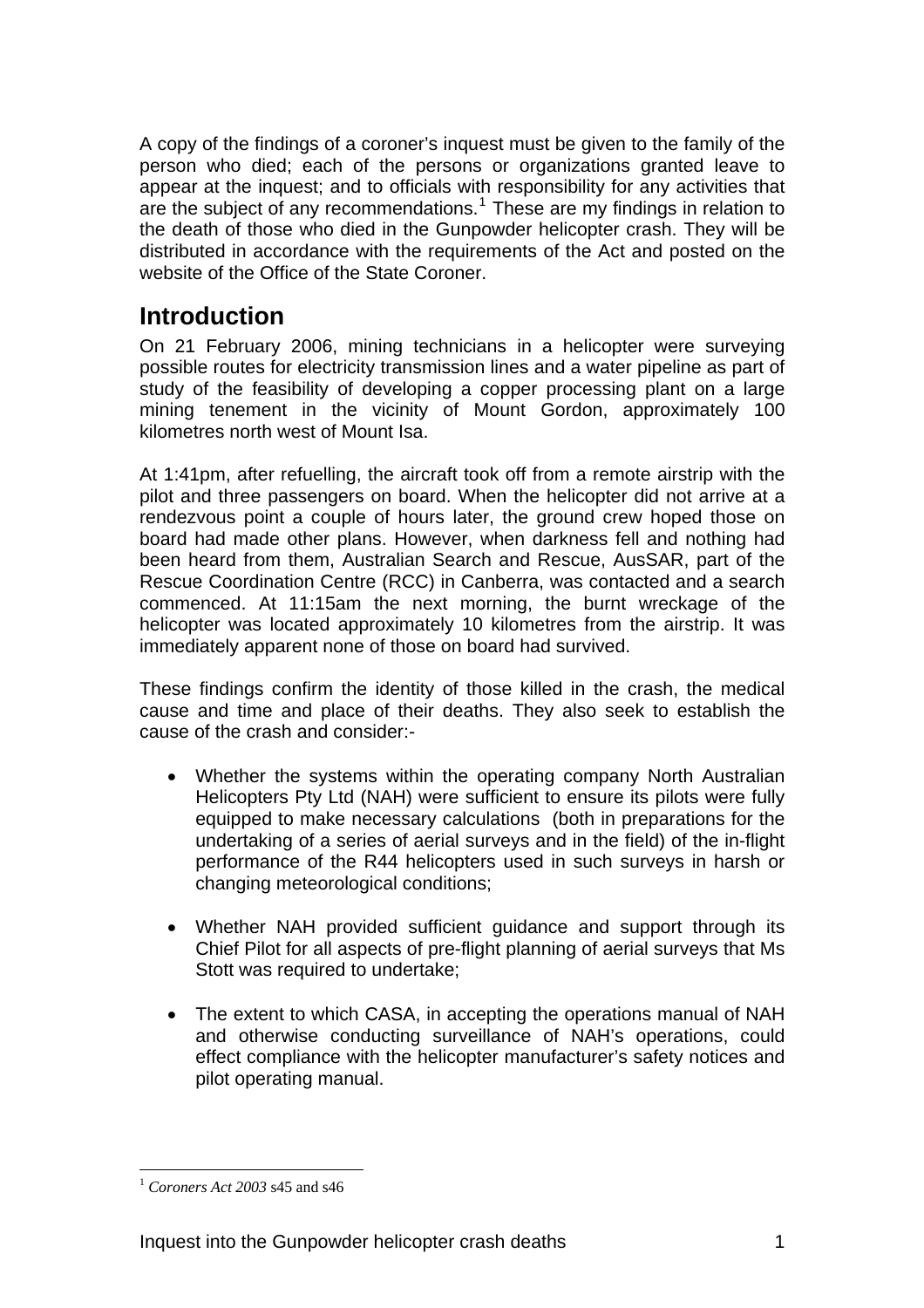<span id="page-2-0"></span>A copy of the findings of a coroner's inquest must be given to the family of the person who died; each of the persons or organizations granted leave to appear at the inquest; and to officials with responsibility for any activities that are the subject of any recommendations.<sup>[1](#page-2-1)</sup> These are my findings in relation to the death of those who died in the Gunpowder helicopter crash. They will be distributed in accordance with the requirements of the Act and posted on the website of the Office of the State Coroner.

# **Introduction**

On 21 February 2006, mining technicians in a helicopter were surveying possible routes for electricity transmission lines and a water pipeline as part of study of the feasibility of developing a copper processing plant on a large mining tenement in the vicinity of Mount Gordon, approximately 100 kilometres north west of Mount Isa.

At 1:41pm, after refuelling, the aircraft took off from a remote airstrip with the pilot and three passengers on board. When the helicopter did not arrive at a rendezvous point a couple of hours later, the ground crew hoped those on board had made other plans. However, when darkness fell and nothing had been heard from them, Australian Search and Rescue, AusSAR, part of the Rescue Coordination Centre (RCC) in Canberra, was contacted and a search commenced. At 11:15am the next morning, the burnt wreckage of the helicopter was located approximately 10 kilometres from the airstrip. It was immediately apparent none of those on board had survived.

These findings confirm the identity of those killed in the crash, the medical cause and time and place of their deaths. They also seek to establish the cause of the crash and consider:-

- Whether the systems within the operating company North Australian Helicopters Pty Ltd (NAH) were sufficient to ensure its pilots were fully equipped to make necessary calculations (both in preparations for the undertaking of a series of aerial surveys and in the field) of the in-flight performance of the R44 helicopters used in such surveys in harsh or changing meteorological conditions;
- Whether NAH provided sufficient guidance and support through its Chief Pilot for all aspects of pre-flight planning of aerial surveys that Ms Stott was required to undertake;
- The extent to which CASA, in accepting the operations manual of NAH and otherwise conducting surveillance of NAH's operations, could effect compliance with the helicopter manufacturer's safety notices and pilot operating manual.

<span id="page-2-1"></span> $\overline{a}$ <sup>1</sup> *Coroners Act 2003* s45 and s46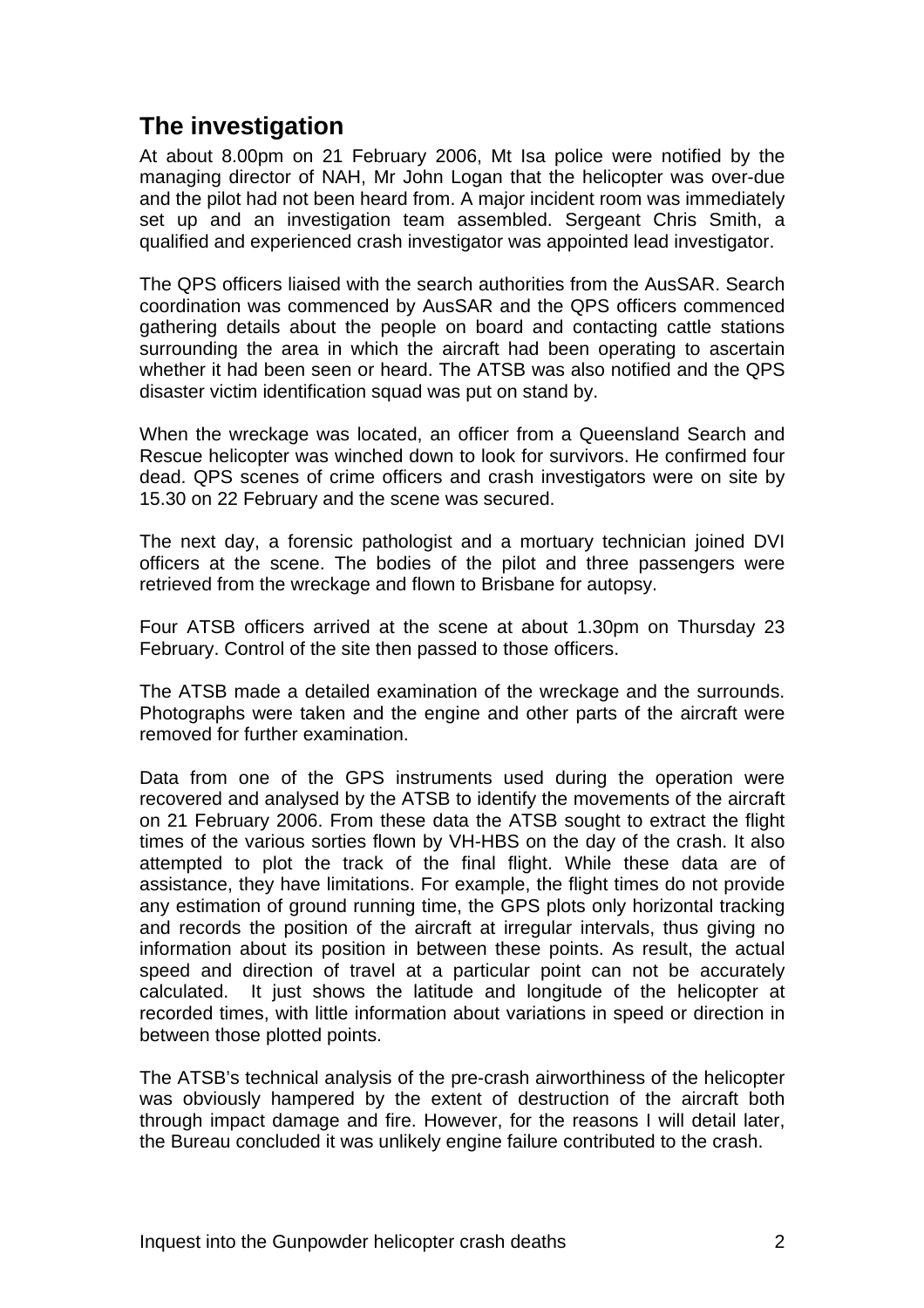# <span id="page-3-0"></span>**The investigation**

At about 8.00pm on 21 February 2006, Mt Isa police were notified by the managing director of NAH, Mr John Logan that the helicopter was over-due and the pilot had not been heard from. A major incident room was immediately set up and an investigation team assembled. Sergeant Chris Smith, a qualified and experienced crash investigator was appointed lead investigator.

The QPS officers liaised with the search authorities from the AusSAR. Search coordination was commenced by AusSAR and the QPS officers commenced gathering details about the people on board and contacting cattle stations surrounding the area in which the aircraft had been operating to ascertain whether it had been seen or heard. The ATSB was also notified and the QPS disaster victim identification squad was put on stand by.

When the wreckage was located, an officer from a Queensland Search and Rescue helicopter was winched down to look for survivors. He confirmed four dead. QPS scenes of crime officers and crash investigators were on site by 15.30 on 22 February and the scene was secured.

The next day, a forensic pathologist and a mortuary technician joined DVI officers at the scene. The bodies of the pilot and three passengers were retrieved from the wreckage and flown to Brisbane for autopsy.

Four ATSB officers arrived at the scene at about 1.30pm on Thursday 23 February. Control of the site then passed to those officers.

The ATSB made a detailed examination of the wreckage and the surrounds. Photographs were taken and the engine and other parts of the aircraft were removed for further examination.

Data from one of the GPS instruments used during the operation were recovered and analysed by the ATSB to identify the movements of the aircraft on 21 February 2006. From these data the ATSB sought to extract the flight times of the various sorties flown by VH-HBS on the day of the crash. It also attempted to plot the track of the final flight. While these data are of assistance, they have limitations. For example, the flight times do not provide any estimation of ground running time, the GPS plots only horizontal tracking and records the position of the aircraft at irregular intervals, thus giving no information about its position in between these points. As result, the actual speed and direction of travel at a particular point can not be accurately calculated. It just shows the latitude and longitude of the helicopter at recorded times, with little information about variations in speed or direction in between those plotted points.

The ATSB's technical analysis of the pre-crash airworthiness of the helicopter was obviously hampered by the extent of destruction of the aircraft both through impact damage and fire. However, for the reasons I will detail later, the Bureau concluded it was unlikely engine failure contributed to the crash.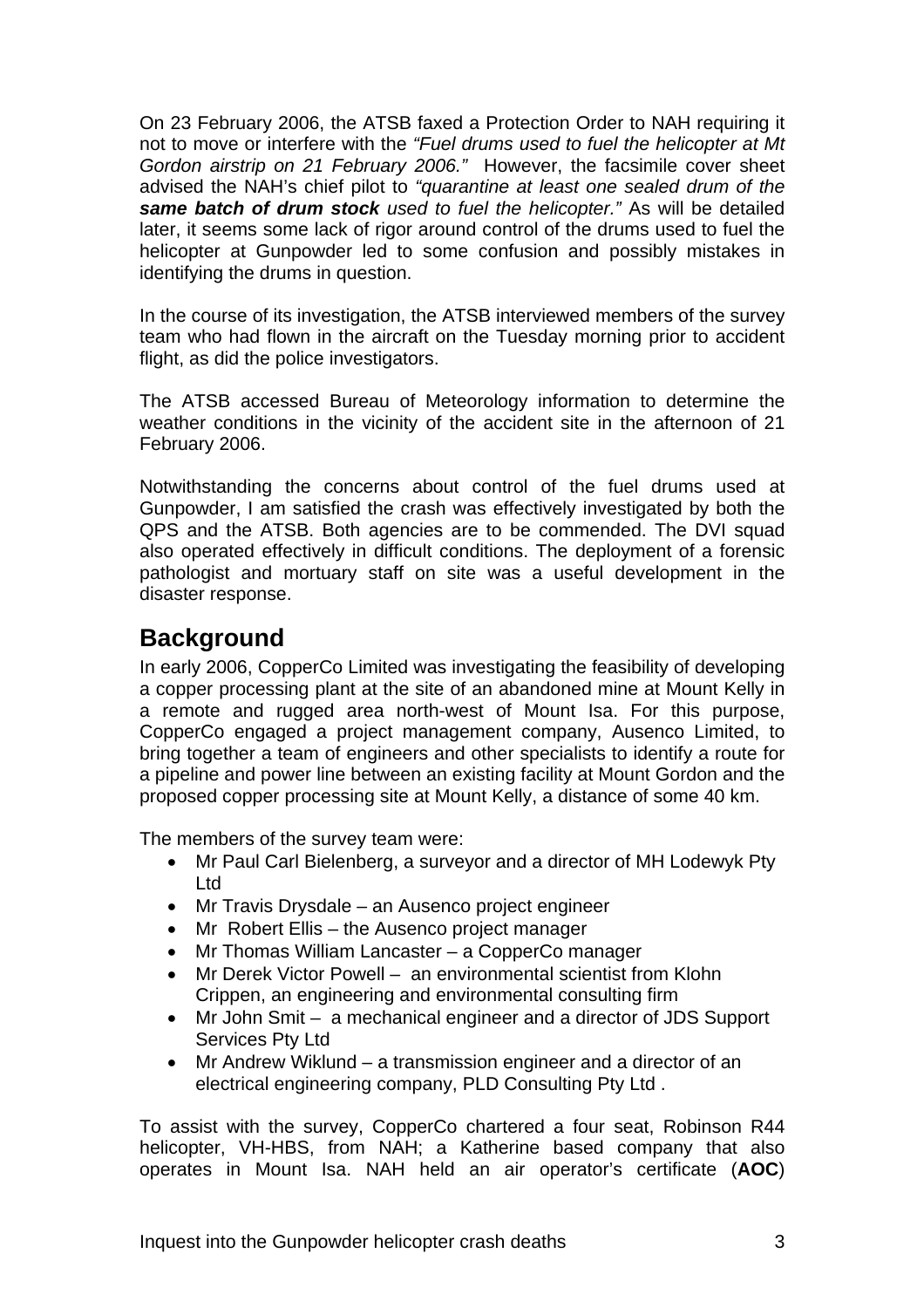<span id="page-4-0"></span>On 23 February 2006, the ATSB faxed a Protection Order to NAH requiring it not to move or interfere with the *"Fuel drums used to fuel the helicopter at Mt Gordon airstrip on 21 February 2006."* However, the facsimile cover sheet advised the NAH's chief pilot to *"quarantine at least one sealed drum of the same batch of drum stock used to fuel the helicopter."* As will be detailed later, it seems some lack of rigor around control of the drums used to fuel the helicopter at Gunpowder led to some confusion and possibly mistakes in identifying the drums in question.

In the course of its investigation, the ATSB interviewed members of the survey team who had flown in the aircraft on the Tuesday morning prior to accident flight, as did the police investigators.

The ATSB accessed Bureau of Meteorology information to determine the weather conditions in the vicinity of the accident site in the afternoon of 21 February 2006.

Notwithstanding the concerns about control of the fuel drums used at Gunpowder, I am satisfied the crash was effectively investigated by both the QPS and the ATSB. Both agencies are to be commended. The DVI squad also operated effectively in difficult conditions. The deployment of a forensic pathologist and mortuary staff on site was a useful development in the disaster response.

### **Background**

In early 2006, CopperCo Limited was investigating the feasibility of developing a copper processing plant at the site of an abandoned mine at Mount Kelly in a remote and rugged area north-west of Mount Isa. For this purpose, CopperCo engaged a project management company, Ausenco Limited, to bring together a team of engineers and other specialists to identify a route for a pipeline and power line between an existing facility at Mount Gordon and the proposed copper processing site at Mount Kelly, a distance of some 40 km.

The members of the survey team were:

- Mr Paul Carl Bielenberg, a surveyor and a director of MH Lodewyk Pty Ltd
- Mr Travis Drysdale an Ausenco project engineer
- Mr Robert Ellis the Ausenco project manager
- Mr Thomas William Lancaster a CopperCo manager
- Mr Derek Victor Powell an environmental scientist from Klohn Crippen, an engineering and environmental consulting firm
- Mr John Smit a mechanical engineer and a director of JDS Support Services Pty Ltd
- Mr Andrew Wiklund a transmission engineer and a director of an electrical engineering company, PLD Consulting Pty Ltd .

To assist with the survey, CopperCo chartered a four seat, Robinson R44 helicopter, VH-HBS, from NAH; a Katherine based company that also operates in Mount Isa. NAH held an air operator's certificate (**AOC**)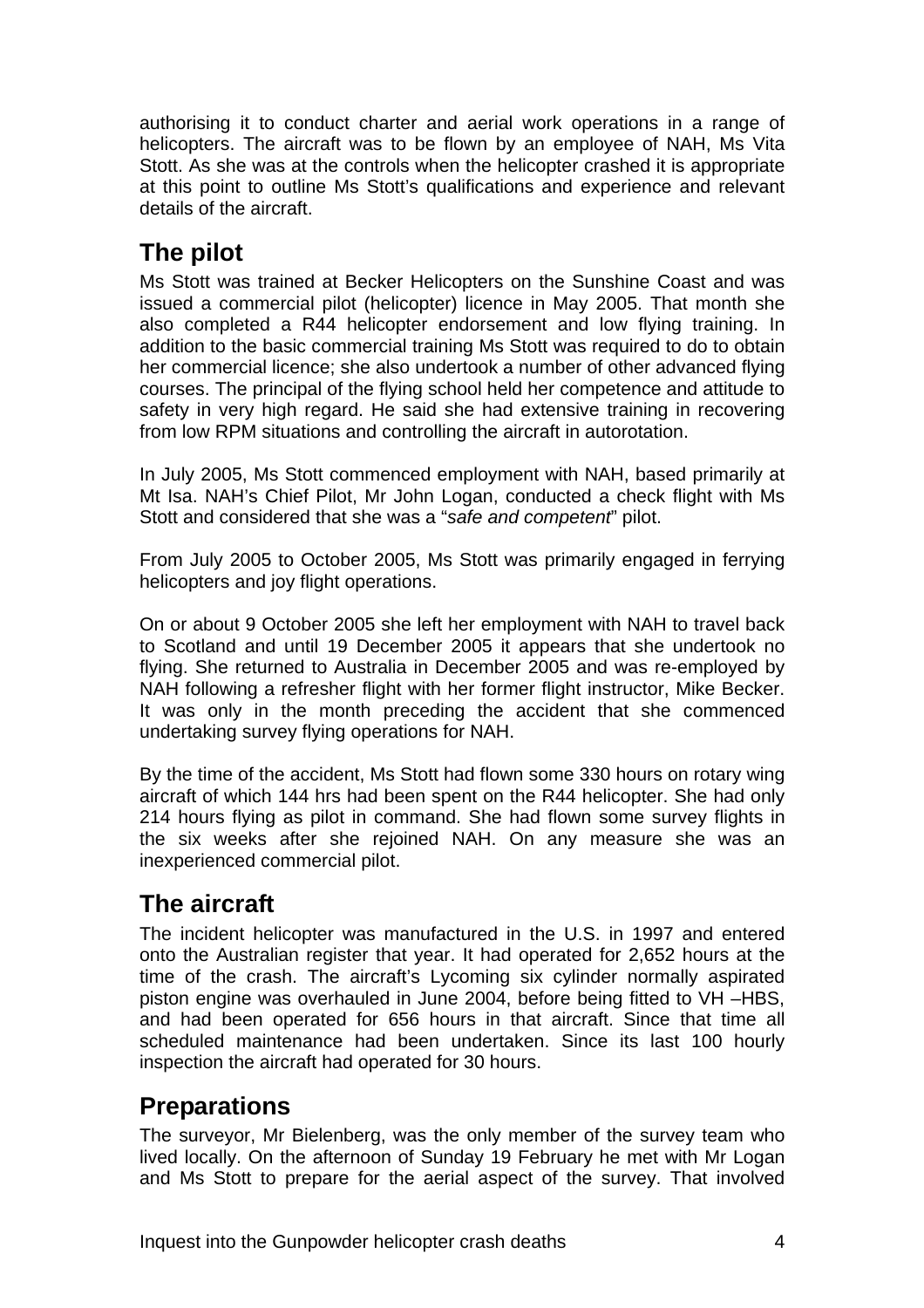<span id="page-5-0"></span>authorising it to conduct charter and aerial work operations in a range of helicopters. The aircraft was to be flown by an employee of NAH, Ms Vita Stott. As she was at the controls when the helicopter crashed it is appropriate at this point to outline Ms Stott's qualifications and experience and relevant details of the aircraft.

# **The pilot**

Ms Stott was trained at Becker Helicopters on the Sunshine Coast and was issued a commercial pilot (helicopter) licence in May 2005. That month she also completed a R44 helicopter endorsement and low flying training. In addition to the basic commercial training Ms Stott was required to do to obtain her commercial licence; she also undertook a number of other advanced flying courses. The principal of the flying school held her competence and attitude to safety in very high regard. He said she had extensive training in recovering from low RPM situations and controlling the aircraft in autorotation.

In July 2005, Ms Stott commenced employment with NAH, based primarily at Mt Isa. NAH's Chief Pilot, Mr John Logan, conducted a check flight with Ms Stott and considered that she was a "*safe and competent*" pilot.

From July 2005 to October 2005, Ms Stott was primarily engaged in ferrying helicopters and joy flight operations.

On or about 9 October 2005 she left her employment with NAH to travel back to Scotland and until 19 December 2005 it appears that she undertook no flying. She returned to Australia in December 2005 and was re-employed by NAH following a refresher flight with her former flight instructor, Mike Becker. It was only in the month preceding the accident that she commenced undertaking survey flying operations for NAH.

By the time of the accident, Ms Stott had flown some 330 hours on rotary wing aircraft of which 144 hrs had been spent on the R44 helicopter. She had only 214 hours flying as pilot in command. She had flown some survey flights in the six weeks after she rejoined NAH. On any measure she was an inexperienced commercial pilot.

# **The aircraft**

The incident helicopter was manufactured in the U.S. in 1997 and entered onto the Australian register that year. It had operated for 2,652 hours at the time of the crash. The aircraft's Lycoming six cylinder normally aspirated piston engine was overhauled in June 2004, before being fitted to VH –HBS, and had been operated for 656 hours in that aircraft. Since that time all scheduled maintenance had been undertaken. Since its last 100 hourly inspection the aircraft had operated for 30 hours.

# **Preparations**

The surveyor, Mr Bielenberg, was the only member of the survey team who lived locally. On the afternoon of Sunday 19 February he met with Mr Logan and Ms Stott to prepare for the aerial aspect of the survey. That involved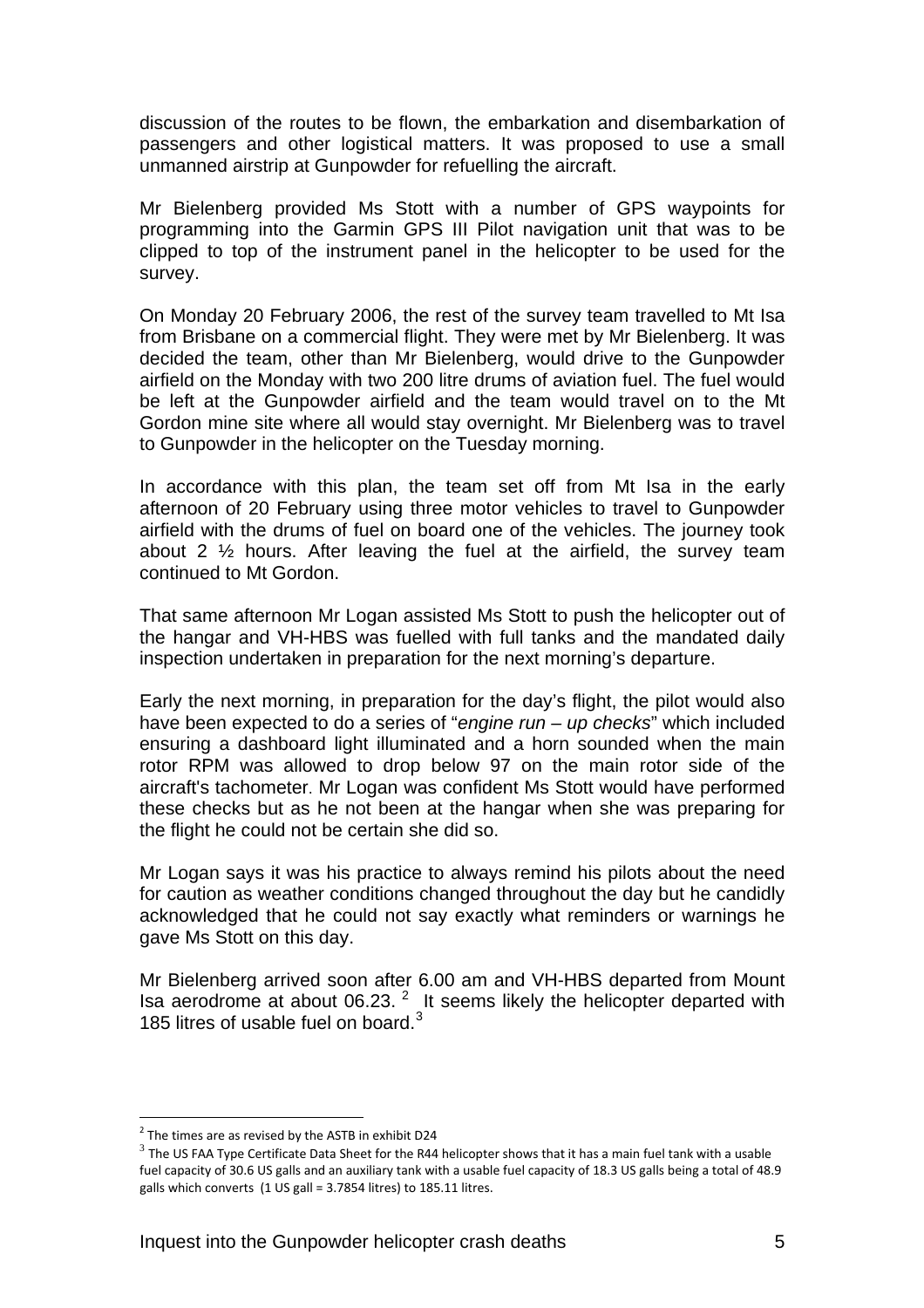discussion of the routes to be flown, the embarkation and disembarkation of passengers and other logistical matters. It was proposed to use a small unmanned airstrip at Gunpowder for refuelling the aircraft.

Mr Bielenberg provided Ms Stott with a number of GPS waypoints for programming into the Garmin GPS III Pilot navigation unit that was to be clipped to top of the instrument panel in the helicopter to be used for the survey.

On Monday 20 February 2006, the rest of the survey team travelled to Mt Isa from Brisbane on a commercial flight. They were met by Mr Bielenberg. It was decided the team, other than Mr Bielenberg, would drive to the Gunpowder airfield on the Monday with two 200 litre drums of aviation fuel. The fuel would be left at the Gunpowder airfield and the team would travel on to the Mt Gordon mine site where all would stay overnight. Mr Bielenberg was to travel to Gunpowder in the helicopter on the Tuesday morning.

In accordance with this plan, the team set off from Mt Isa in the early afternoon of 20 February using three motor vehicles to travel to Gunpowder airfield with the drums of fuel on board one of the vehicles. The journey took about 2 ½ hours. After leaving the fuel at the airfield, the survey team continued to Mt Gordon.

That same afternoon Mr Logan assisted Ms Stott to push the helicopter out of the hangar and VH-HBS was fuelled with full tanks and the mandated daily inspection undertaken in preparation for the next morning's departure.

Early the next morning, in preparation for the day's flight, the pilot would also have been expected to do a series of "*engine run – up checks*" which included ensuring a dashboard light illuminated and a horn sounded when the main rotor RPM was allowed to drop below 97 on the main rotor side of the aircraft's tachometer. Mr Logan was confident Ms Stott would have performed these checks but as he not been at the hangar when she was preparing for the flight he could not be certain she did so.

Mr Logan says it was his practice to always remind his pilots about the need for caution as weather conditions changed throughout the day but he candidly acknowledged that he could not say exactly what reminders or warnings he gave Ms Stott on this day.

Mr Bielenberg arrived soon after 6.00 am and VH-HBS departed from Mount Isa aerodrome at about  $06.23$  $06.23$  $06.23$ . <sup>2</sup> It seems likely the helicopter departed with 185 litres of usable fuel on board. $3$ 

 $\overline{a}$ 

<span id="page-6-1"></span><span id="page-6-0"></span><sup>&</sup>lt;sup>2</sup> The times are as revised by the ASTB in exhibit D24<br><sup>3</sup> The US FAA Type Certificate Data Sheet for the R44 helicopter shows that it has a main fuel tank with a usable fuel capacity of 30.6 US galls and an auxiliary tank with a usable fuel capacity of 18.3 US galls being a total of 48.9 galls which converts (1 US gall = 3.7854 litres) to 185.11 litres.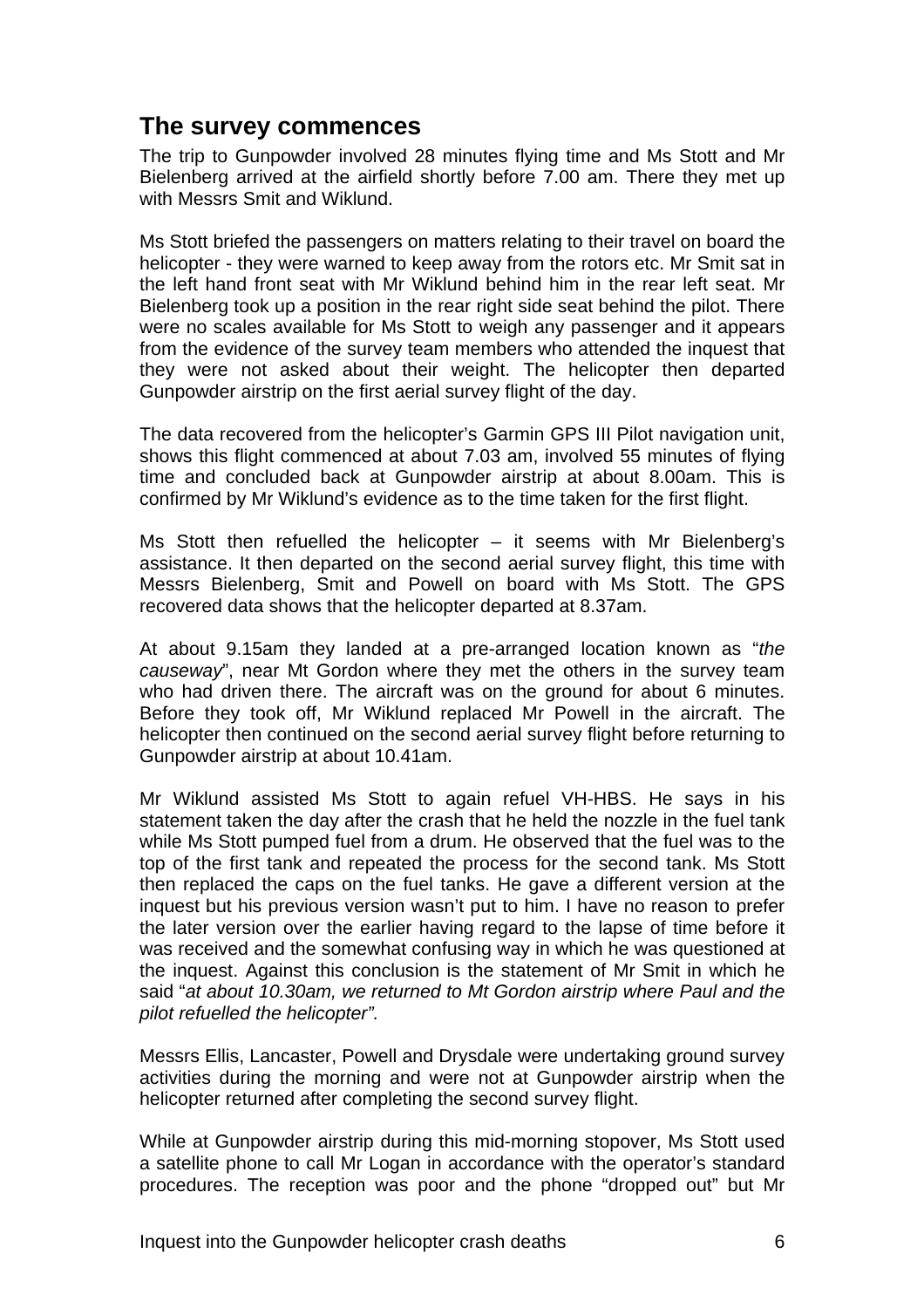### <span id="page-7-0"></span>**The survey commences**

The trip to Gunpowder involved 28 minutes flying time and Ms Stott and Mr Bielenberg arrived at the airfield shortly before 7.00 am. There they met up with Messrs Smit and Wiklund.

Ms Stott briefed the passengers on matters relating to their travel on board the helicopter - they were warned to keep away from the rotors etc. Mr Smit sat in the left hand front seat with Mr Wiklund behind him in the rear left seat. Mr Bielenberg took up a position in the rear right side seat behind the pilot. There were no scales available for Ms Stott to weigh any passenger and it appears from the evidence of the survey team members who attended the inquest that they were not asked about their weight. The helicopter then departed Gunpowder airstrip on the first aerial survey flight of the day.

The data recovered from the helicopter's Garmin GPS III Pilot navigation unit, shows this flight commenced at about 7.03 am, involved 55 minutes of flying time and concluded back at Gunpowder airstrip at about 8.00am. This is confirmed by Mr Wiklund's evidence as to the time taken for the first flight.

Ms Stott then refuelled the helicopter  $-$  it seems with Mr Bielenberg's assistance. It then departed on the second aerial survey flight, this time with Messrs Bielenberg, Smit and Powell on board with Ms Stott. The GPS recovered data shows that the helicopter departed at 8.37am.

At about 9.15am they landed at a pre-arranged location known as "*the causeway*", near Mt Gordon where they met the others in the survey team who had driven there. The aircraft was on the ground for about 6 minutes. Before they took off, Mr Wiklund replaced Mr Powell in the aircraft. The helicopter then continued on the second aerial survey flight before returning to Gunpowder airstrip at about 10.41am.

Mr Wiklund assisted Ms Stott to again refuel VH-HBS. He says in his statement taken the day after the crash that he held the nozzle in the fuel tank while Ms Stott pumped fuel from a drum. He observed that the fuel was to the top of the first tank and repeated the process for the second tank. Ms Stott then replaced the caps on the fuel tanks. He gave a different version at the inquest but his previous version wasn't put to him. I have no reason to prefer the later version over the earlier having regard to the lapse of time before it was received and the somewhat confusing way in which he was questioned at the inquest. Against this conclusion is the statement of Mr Smit in which he said "*at about 10.30am, we returned to Mt Gordon airstrip where Paul and the pilot refuelled the helicopter".* 

Messrs Ellis, Lancaster, Powell and Drysdale were undertaking ground survey activities during the morning and were not at Gunpowder airstrip when the helicopter returned after completing the second survey flight.

While at Gunpowder airstrip during this mid-morning stopover, Ms Stott used a satellite phone to call Mr Logan in accordance with the operator's standard procedures. The reception was poor and the phone "dropped out" but Mr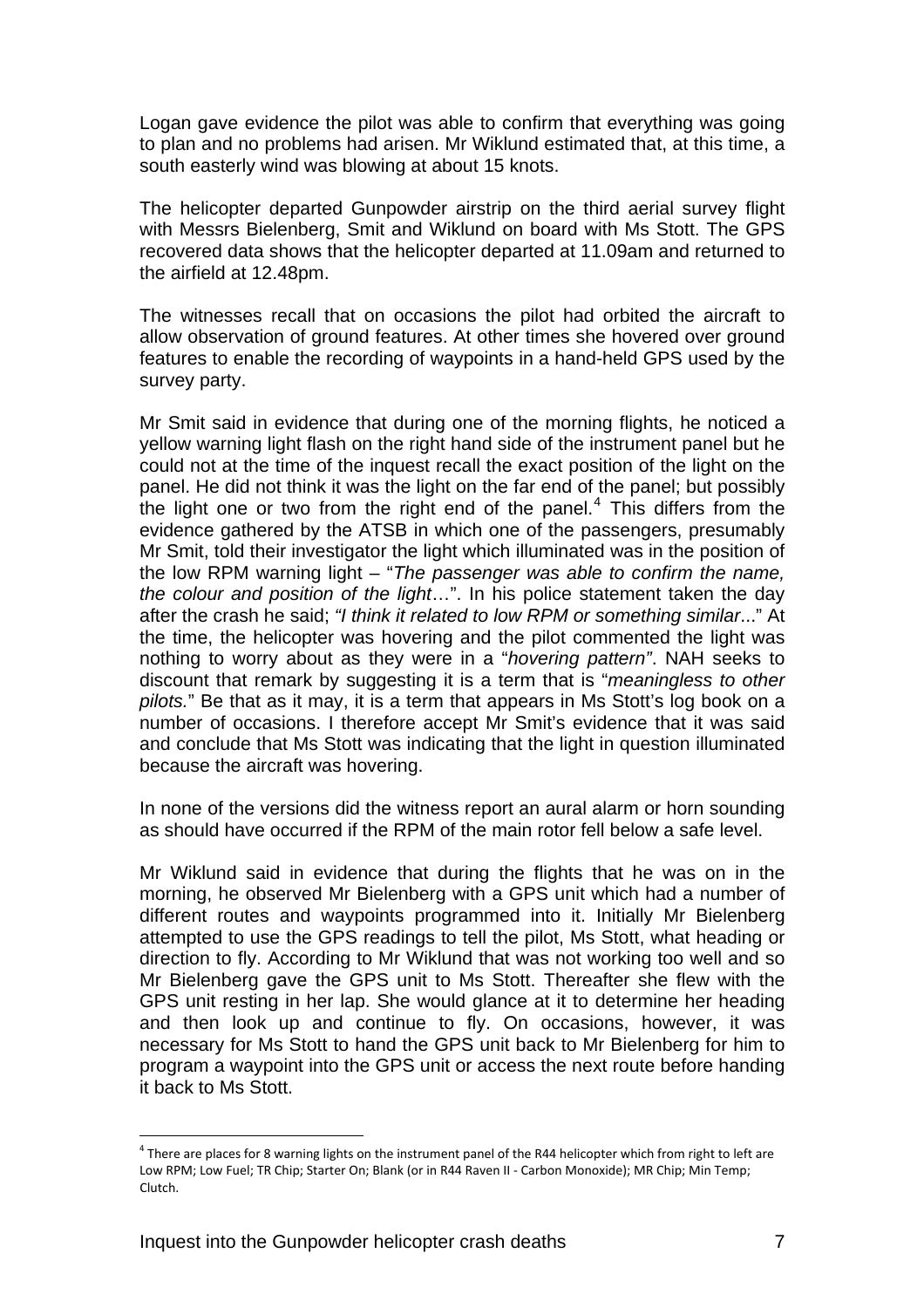Logan gave evidence the pilot was able to confirm that everything was going to plan and no problems had arisen. Mr Wiklund estimated that, at this time, a south easterly wind was blowing at about 15 knots.

The helicopter departed Gunpowder airstrip on the third aerial survey flight with Messrs Bielenberg, Smit and Wiklund on board with Ms Stott. The GPS recovered data shows that the helicopter departed at 11.09am and returned to the airfield at 12.48pm.

The witnesses recall that on occasions the pilot had orbited the aircraft to allow observation of ground features. At other times she hovered over ground features to enable the recording of waypoints in a hand-held GPS used by the survey party.

Mr Smit said in evidence that during one of the morning flights, he noticed a yellow warning light flash on the right hand side of the instrument panel but he could not at the time of the inquest recall the exact position of the light on the panel. He did not think it was the light on the far end of the panel; but possibly the light one or two from the right end of the panel.<sup>[4](#page-8-0)</sup> This differs from the evidence gathered by the ATSB in which one of the passengers, presumably Mr Smit, told their investigator the light which illuminated was in the position of the low RPM warning light – "*The passenger was able to confirm the name, the colour and position of the light*…". In his police statement taken the day after the crash he said; *"I think it related to low RPM or something similar*..." At the time, the helicopter was hovering and the pilot commented the light was nothing to worry about as they were in a "*hovering pattern"*. NAH seeks to discount that remark by suggesting it is a term that is "*meaningless to other pilots.*" Be that as it may, it is a term that appears in Ms Stott's log book on a number of occasions. I therefore accept Mr Smit's evidence that it was said and conclude that Ms Stott was indicating that the light in question illuminated because the aircraft was hovering.

In none of the versions did the witness report an aural alarm or horn sounding as should have occurred if the RPM of the main rotor fell below a safe level.

Mr Wiklund said in evidence that during the flights that he was on in the morning, he observed Mr Bielenberg with a GPS unit which had a number of different routes and waypoints programmed into it. Initially Mr Bielenberg attempted to use the GPS readings to tell the pilot, Ms Stott, what heading or direction to fly. According to Mr Wiklund that was not working too well and so Mr Bielenberg gave the GPS unit to Ms Stott. Thereafter she flew with the GPS unit resting in her lap. She would glance at it to determine her heading and then look up and continue to fly. On occasions, however, it was necessary for Ms Stott to hand the GPS unit back to Mr Bielenberg for him to program a waypoint into the GPS unit or access the next route before handing it back to Ms Stott.

 $\overline{a}$ 

<span id="page-8-0"></span><sup>&</sup>lt;sup>4</sup> There are places for 8 warning lights on the instrument panel of the R44 helicopter which from right to left are Low RPM; Low Fuel; TR Chip; Starter On; Blank (or in R44 Raven II ‐ Carbon Monoxide); MR Chip; Min Temp; Clutch.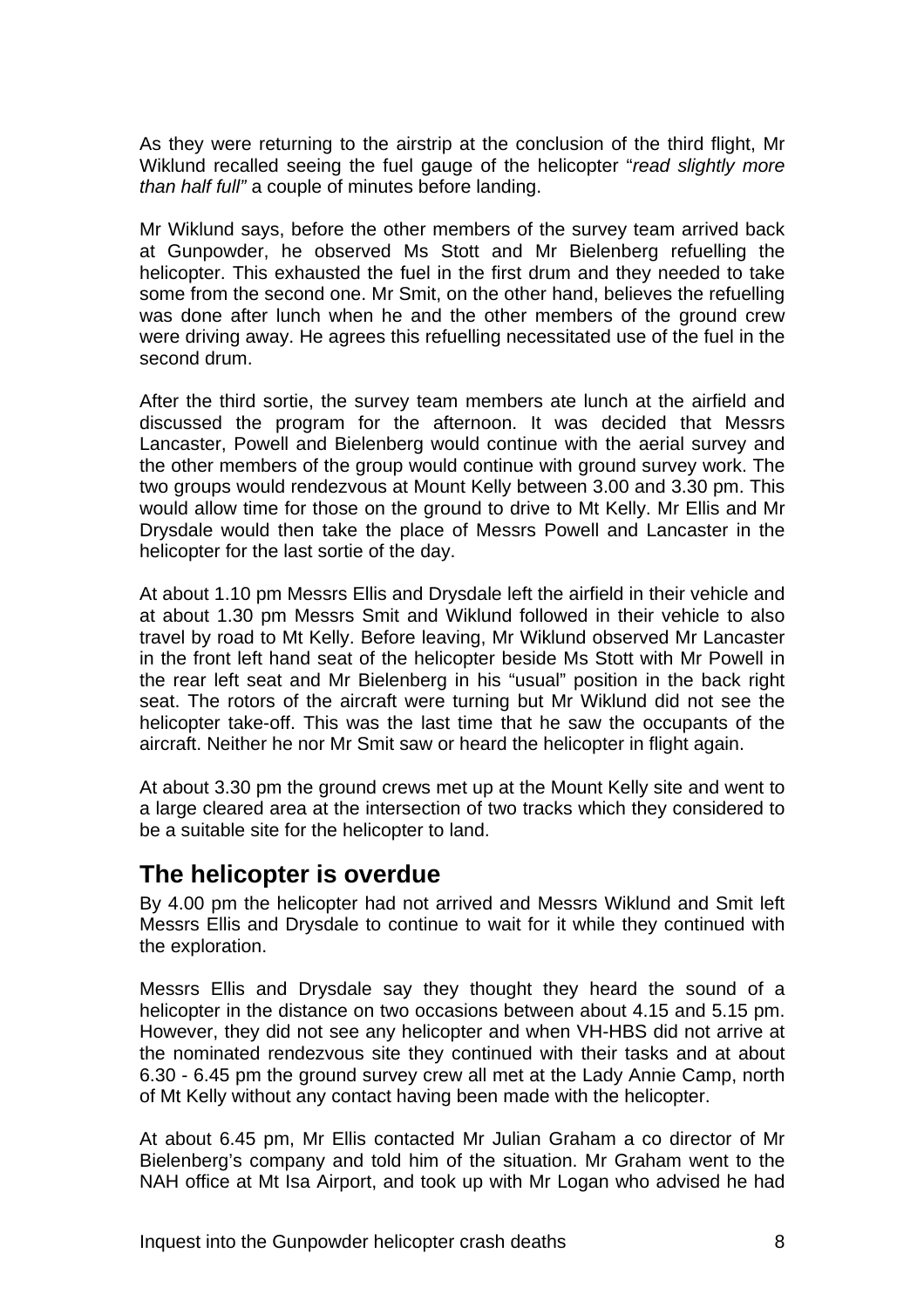<span id="page-9-0"></span>As they were returning to the airstrip at the conclusion of the third flight, Mr Wiklund recalled seeing the fuel gauge of the helicopter "*read slightly more than half full"* a couple of minutes before landing.

Mr Wiklund says, before the other members of the survey team arrived back at Gunpowder, he observed Ms Stott and Mr Bielenberg refuelling the helicopter. This exhausted the fuel in the first drum and they needed to take some from the second one. Mr Smit, on the other hand, believes the refuelling was done after lunch when he and the other members of the ground crew were driving away. He agrees this refuelling necessitated use of the fuel in the second drum.

After the third sortie, the survey team members ate lunch at the airfield and discussed the program for the afternoon. It was decided that Messrs Lancaster, Powell and Bielenberg would continue with the aerial survey and the other members of the group would continue with ground survey work. The two groups would rendezvous at Mount Kelly between 3.00 and 3.30 pm. This would allow time for those on the ground to drive to Mt Kelly. Mr Ellis and Mr Drysdale would then take the place of Messrs Powell and Lancaster in the helicopter for the last sortie of the day.

At about 1.10 pm Messrs Ellis and Drysdale left the airfield in their vehicle and at about 1.30 pm Messrs Smit and Wiklund followed in their vehicle to also travel by road to Mt Kelly. Before leaving, Mr Wiklund observed Mr Lancaster in the front left hand seat of the helicopter beside Ms Stott with Mr Powell in the rear left seat and Mr Bielenberg in his "usual" position in the back right seat. The rotors of the aircraft were turning but Mr Wiklund did not see the helicopter take-off. This was the last time that he saw the occupants of the aircraft. Neither he nor Mr Smit saw or heard the helicopter in flight again.

At about 3.30 pm the ground crews met up at the Mount Kelly site and went to a large cleared area at the intersection of two tracks which they considered to be a suitable site for the helicopter to land.

### **The helicopter is overdue**

By 4.00 pm the helicopter had not arrived and Messrs Wiklund and Smit left Messrs Ellis and Drysdale to continue to wait for it while they continued with the exploration.

Messrs Ellis and Drysdale say they thought they heard the sound of a helicopter in the distance on two occasions between about 4.15 and 5.15 pm. However, they did not see any helicopter and when VH-HBS did not arrive at the nominated rendezvous site they continued with their tasks and at about 6.30 - 6.45 pm the ground survey crew all met at the Lady Annie Camp, north of Mt Kelly without any contact having been made with the helicopter.

At about 6.45 pm, Mr Ellis contacted Mr Julian Graham a co director of Mr Bielenberg's company and told him of the situation. Mr Graham went to the NAH office at Mt Isa Airport, and took up with Mr Logan who advised he had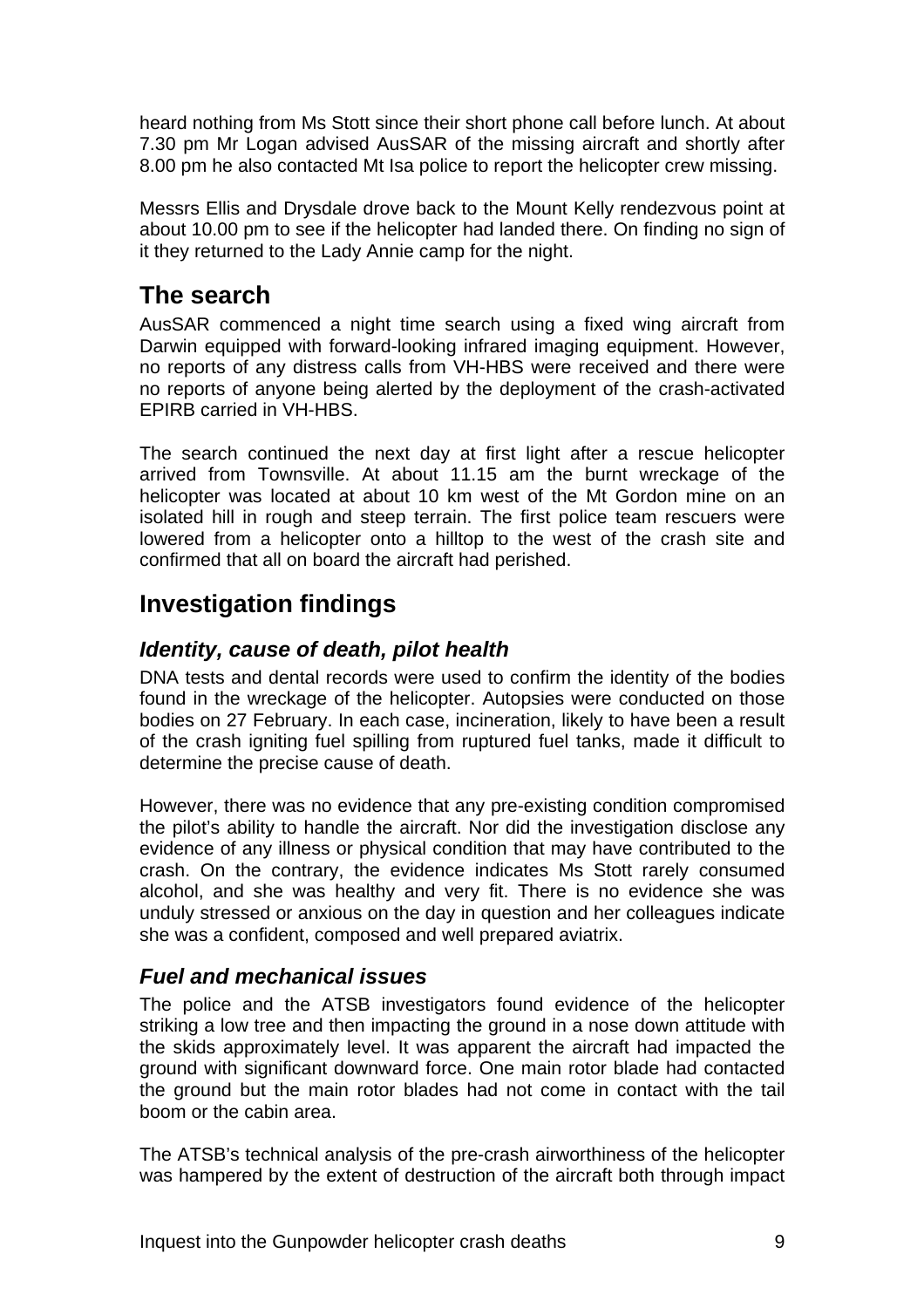<span id="page-10-0"></span>heard nothing from Ms Stott since their short phone call before lunch. At about 7.30 pm Mr Logan advised AusSAR of the missing aircraft and shortly after 8.00 pm he also contacted Mt Isa police to report the helicopter crew missing.

Messrs Ellis and Drysdale drove back to the Mount Kelly rendezvous point at about 10.00 pm to see if the helicopter had landed there. On finding no sign of it they returned to the Lady Annie camp for the night.

# **The search**

AusSAR commenced a night time search using a fixed wing aircraft from Darwin equipped with forward-looking infrared imaging equipment. However, no reports of any distress calls from VH-HBS were received and there were no reports of anyone being alerted by the deployment of the crash-activated EPIRB carried in VH-HBS.

The search continued the next day at first light after a rescue helicopter arrived from Townsville. At about 11.15 am the burnt wreckage of the helicopter was located at about 10 km west of the Mt Gordon mine on an isolated hill in rough and steep terrain. The first police team rescuers were lowered from a helicopter onto a hilltop to the west of the crash site and confirmed that all on board the aircraft had perished.

# **Investigation findings**

### *Identity, cause of death, pilot health*

DNA tests and dental records were used to confirm the identity of the bodies found in the wreckage of the helicopter. Autopsies were conducted on those bodies on 27 February. In each case, incineration, likely to have been a result of the crash igniting fuel spilling from ruptured fuel tanks, made it difficult to determine the precise cause of death.

However, there was no evidence that any pre-existing condition compromised the pilot's ability to handle the aircraft. Nor did the investigation disclose any evidence of any illness or physical condition that may have contributed to the crash. On the contrary, the evidence indicates Ms Stott rarely consumed alcohol, and she was healthy and very fit. There is no evidence she was unduly stressed or anxious on the day in question and her colleagues indicate she was a confident, composed and well prepared aviatrix.

### *Fuel and mechanical issues*

The police and the ATSB investigators found evidence of the helicopter striking a low tree and then impacting the ground in a nose down attitude with the skids approximately level. It was apparent the aircraft had impacted the ground with significant downward force. One main rotor blade had contacted the ground but the main rotor blades had not come in contact with the tail boom or the cabin area.

The ATSB's technical analysis of the pre-crash airworthiness of the helicopter was hampered by the extent of destruction of the aircraft both through impact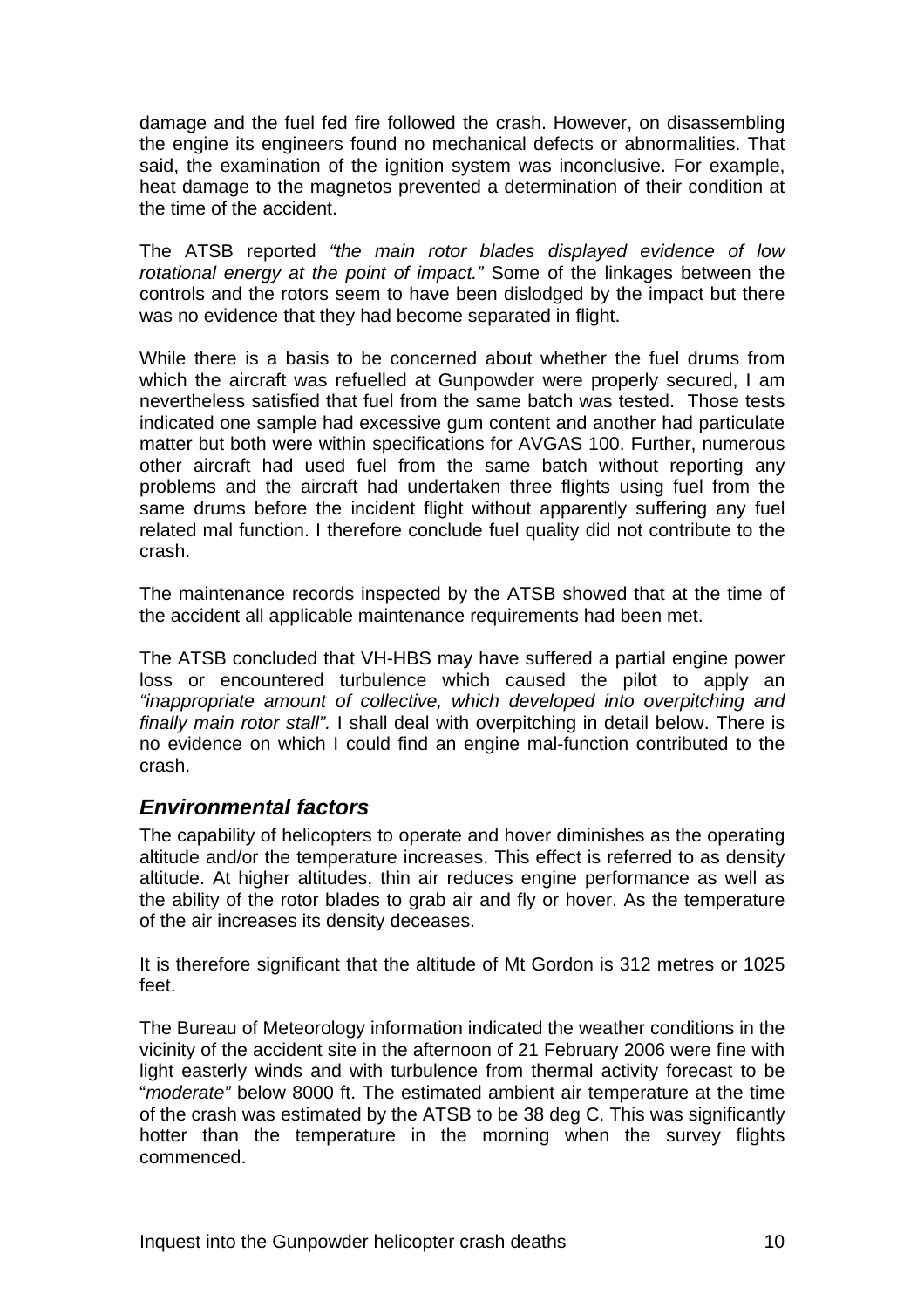<span id="page-11-0"></span>damage and the fuel fed fire followed the crash. However, on disassembling the engine its engineers found no mechanical defects or abnormalities. That said, the examination of the ignition system was inconclusive. For example, heat damage to the magnetos prevented a determination of their condition at the time of the accident.

The ATSB reported *"the main rotor blades displayed evidence of low rotational energy at the point of impact."* Some of the linkages between the controls and the rotors seem to have been dislodged by the impact but there was no evidence that they had become separated in flight.

While there is a basis to be concerned about whether the fuel drums from which the aircraft was refuelled at Gunpowder were properly secured, I am nevertheless satisfied that fuel from the same batch was tested. Those tests indicated one sample had excessive gum content and another had particulate matter but both were within specifications for AVGAS 100. Further, numerous other aircraft had used fuel from the same batch without reporting any problems and the aircraft had undertaken three flights using fuel from the same drums before the incident flight without apparently suffering any fuel related mal function. I therefore conclude fuel quality did not contribute to the crash.

The maintenance records inspected by the ATSB showed that at the time of the accident all applicable maintenance requirements had been met.

The ATSB concluded that VH-HBS may have suffered a partial engine power loss or encountered turbulence which caused the pilot to apply an *"inappropriate amount of collective, which developed into overpitching and finally main rotor stall".* I shall deal with overpitching in detail below. There is no evidence on which I could find an engine mal-function contributed to the crash.

#### *Environmental factors*

The capability of helicopters to operate and hover diminishes as the operating altitude and/or the temperature increases. This effect is referred to as density altitude. At higher altitudes, thin air reduces engine performance as well as the ability of the rotor blades to grab air and fly or hover. As the temperature of the air increases its density deceases.

It is therefore significant that the altitude of Mt Gordon is 312 metres or 1025 feet.

The Bureau of Meteorology information indicated the weather conditions in the vicinity of the accident site in the afternoon of 21 February 2006 were fine with light easterly winds and with turbulence from thermal activity forecast to be "*moderate"* below 8000 ft. The estimated ambient air temperature at the time of the crash was estimated by the ATSB to be 38 deg C. This was significantly hotter than the temperature in the morning when the survey flights commenced.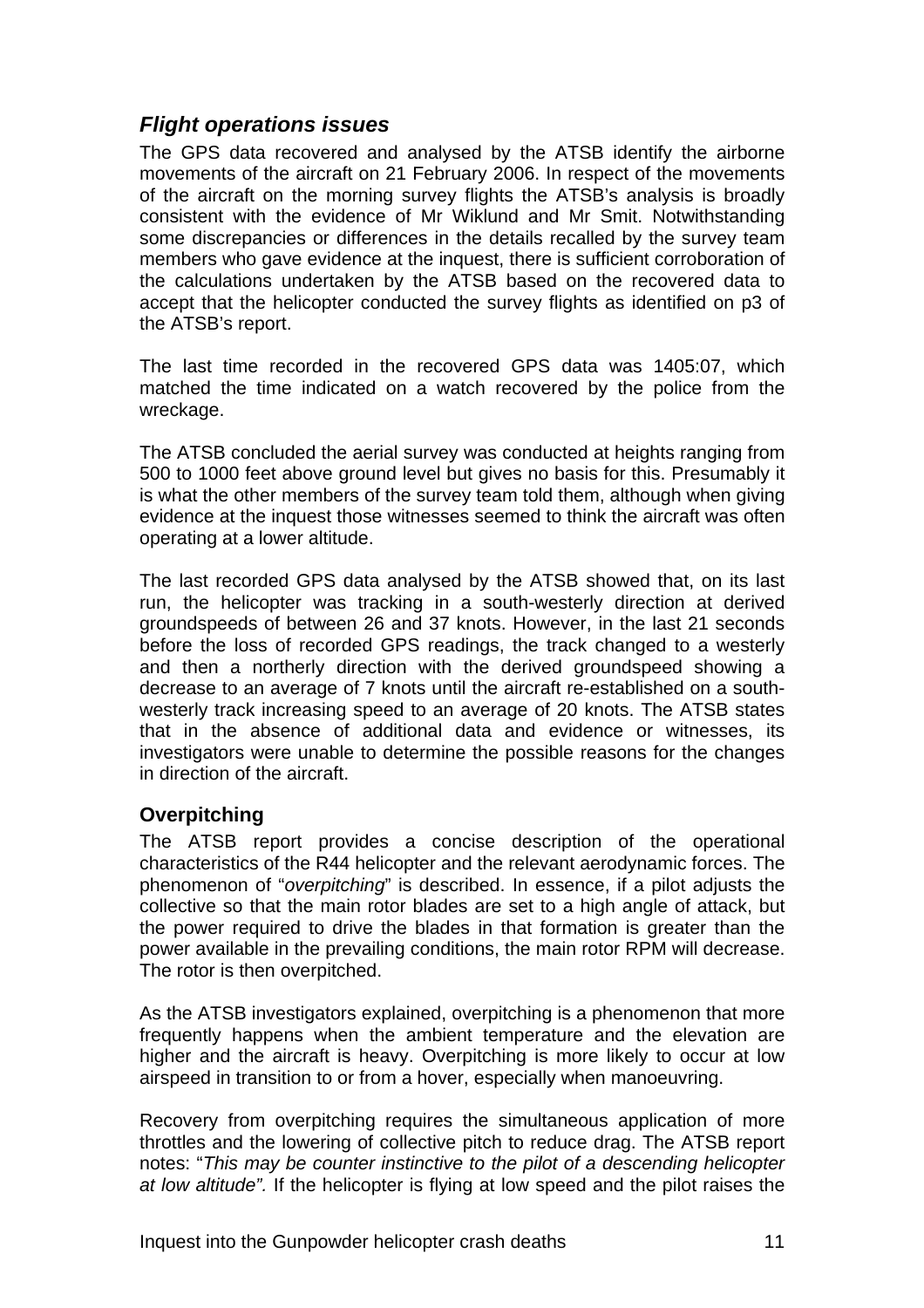#### <span id="page-12-0"></span>*Flight operations issues*

The GPS data recovered and analysed by the ATSB identify the airborne movements of the aircraft on 21 February 2006. In respect of the movements of the aircraft on the morning survey flights the ATSB's analysis is broadly consistent with the evidence of Mr Wiklund and Mr Smit. Notwithstanding some discrepancies or differences in the details recalled by the survey team members who gave evidence at the inquest, there is sufficient corroboration of the calculations undertaken by the ATSB based on the recovered data to accept that the helicopter conducted the survey flights as identified on p3 of the ATSB's report.

The last time recorded in the recovered GPS data was 1405:07, which matched the time indicated on a watch recovered by the police from the wreckage.

The ATSB concluded the aerial survey was conducted at heights ranging from 500 to 1000 feet above ground level but gives no basis for this. Presumably it is what the other members of the survey team told them, although when giving evidence at the inquest those witnesses seemed to think the aircraft was often operating at a lower altitude.

The last recorded GPS data analysed by the ATSB showed that, on its last run, the helicopter was tracking in a south-westerly direction at derived groundspeeds of between 26 and 37 knots. However, in the last 21 seconds before the loss of recorded GPS readings, the track changed to a westerly and then a northerly direction with the derived groundspeed showing a decrease to an average of 7 knots until the aircraft re-established on a southwesterly track increasing speed to an average of 20 knots. The ATSB states that in the absence of additional data and evidence or witnesses, its investigators were unable to determine the possible reasons for the changes in direction of the aircraft.

#### **Overpitching**

The ATSB report provides a concise description of the operational characteristics of the R44 helicopter and the relevant aerodynamic forces. The phenomenon of "*overpitching*" is described. In essence, if a pilot adjusts the collective so that the main rotor blades are set to a high angle of attack, but the power required to drive the blades in that formation is greater than the power available in the prevailing conditions, the main rotor RPM will decrease. The rotor is then overpitched.

As the ATSB investigators explained, overpitching is a phenomenon that more frequently happens when the ambient temperature and the elevation are higher and the aircraft is heavy. Overpitching is more likely to occur at low airspeed in transition to or from a hover, especially when manoeuvring.

Recovery from overpitching requires the simultaneous application of more throttles and the lowering of collective pitch to reduce drag. The ATSB report notes: "*This may be counter instinctive to the pilot of a descending helicopter at low altitude".* If the helicopter is flying at low speed and the pilot raises the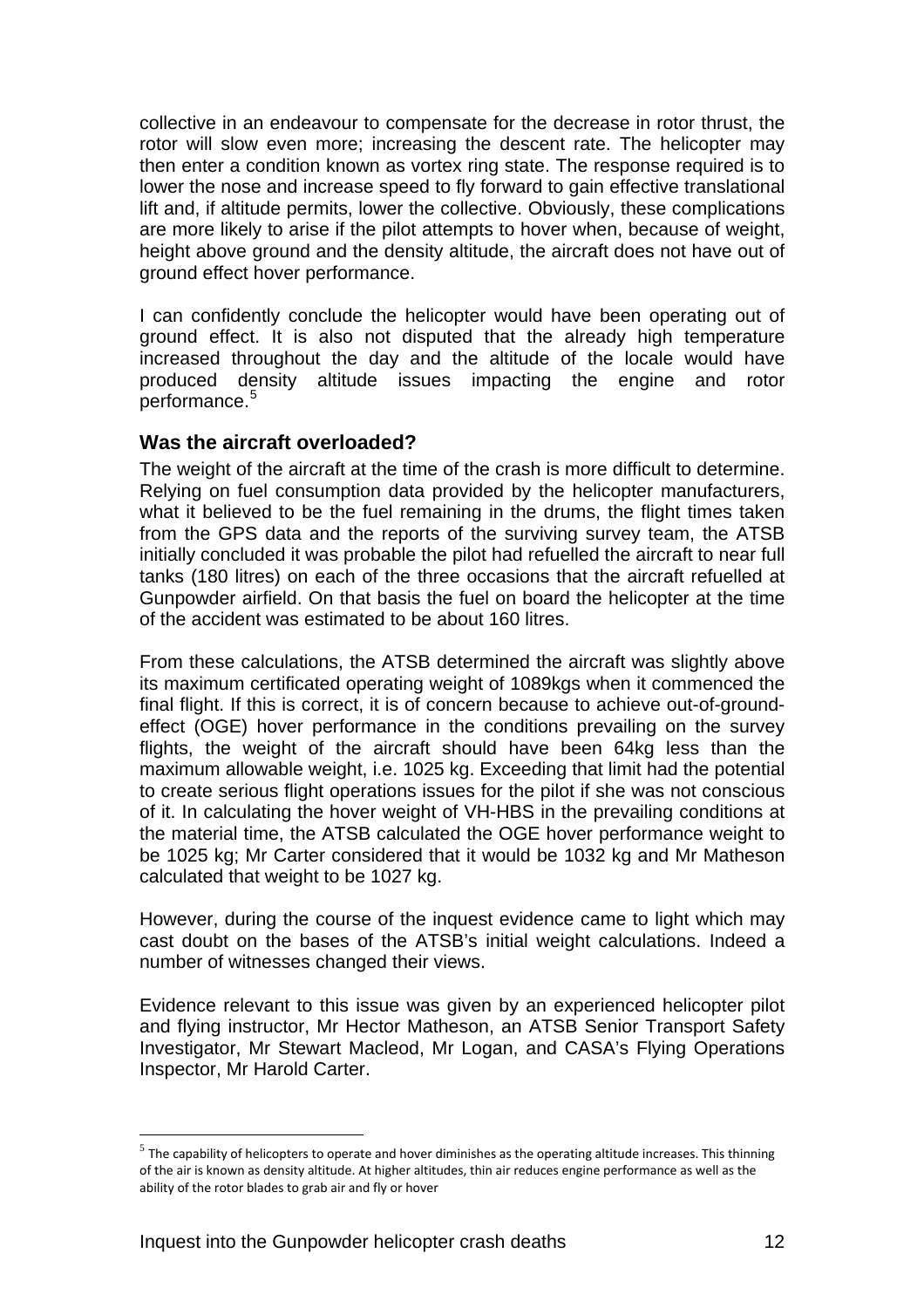<span id="page-13-0"></span>collective in an endeavour to compensate for the decrease in rotor thrust, the rotor will slow even more; increasing the descent rate. The helicopter may then enter a condition known as vortex ring state. The response required is to lower the nose and increase speed to fly forward to gain effective translational lift and, if altitude permits, lower the collective. Obviously, these complications are more likely to arise if the pilot attempts to hover when, because of weight, height above ground and the density altitude, the aircraft does not have out of ground effect hover performance.

I can confidently conclude the helicopter would have been operating out of ground effect. It is also not disputed that the already high temperature increased throughout the day and the altitude of the locale would have produced density altitude issues impacting the engine and rotor performance.<sup>[5](#page-13-1)</sup>

#### **Was the aircraft overloaded?**

The weight of the aircraft at the time of the crash is more difficult to determine. Relying on fuel consumption data provided by the helicopter manufacturers, what it believed to be the fuel remaining in the drums, the flight times taken from the GPS data and the reports of the surviving survey team, the ATSB initially concluded it was probable the pilot had refuelled the aircraft to near full tanks (180 litres) on each of the three occasions that the aircraft refuelled at Gunpowder airfield. On that basis the fuel on board the helicopter at the time of the accident was estimated to be about 160 litres.

From these calculations, the ATSB determined the aircraft was slightly above its maximum certificated operating weight of 1089kgs when it commenced the final flight. If this is correct, it is of concern because to achieve out-of-groundeffect (OGE) hover performance in the conditions prevailing on the survey flights, the weight of the aircraft should have been 64kg less than the maximum allowable weight, i.e. 1025 kg. Exceeding that limit had the potential to create serious flight operations issues for the pilot if she was not conscious of it. In calculating the hover weight of VH-HBS in the prevailing conditions at the material time, the ATSB calculated the OGE hover performance weight to be 1025 kg; Mr Carter considered that it would be 1032 kg and Mr Matheson calculated that weight to be 1027 kg.

However, during the course of the inquest evidence came to light which may cast doubt on the bases of the ATSB's initial weight calculations. Indeed a number of witnesses changed their views.

Evidence relevant to this issue was given by an experienced helicopter pilot and flying instructor, Mr Hector Matheson, an ATSB Senior Transport Safety Investigator, Mr Stewart Macleod, Mr Logan, and CASA's Flying Operations Inspector, Mr Harold Carter.

 $\overline{a}$ 

<span id="page-13-1"></span> $<sup>5</sup>$  The capability of helicopters to operate and hover diminishes as the operating altitude increases. This thinning</sup> of the air is known as density altitude. At higher altitudes, thin air reduces engine performance as well as the ability of the rotor blades to grab air and fly or hover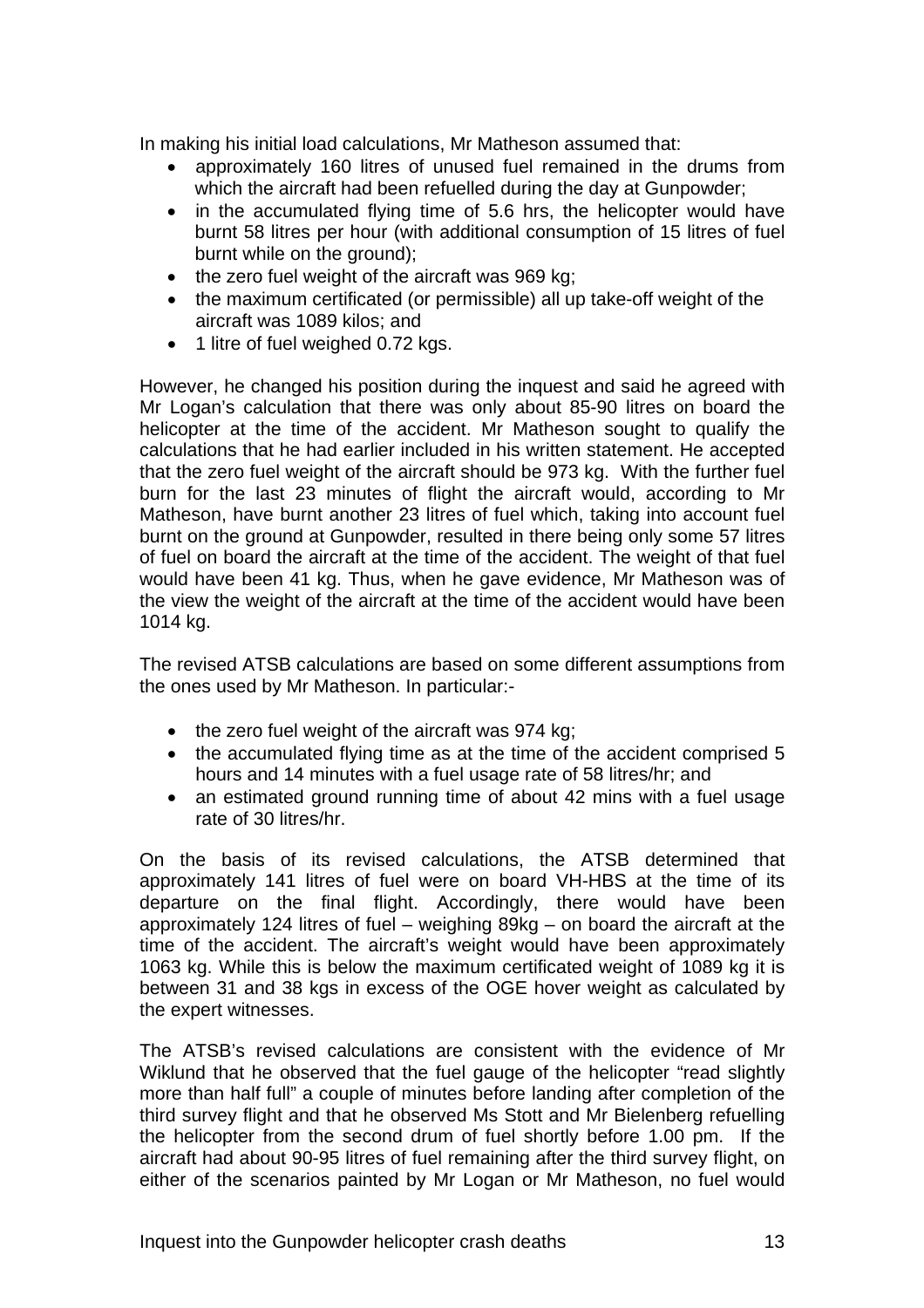In making his initial load calculations, Mr Matheson assumed that:

- approximately 160 litres of unused fuel remained in the drums from which the aircraft had been refuelled during the day at Gunpowder;
- in the accumulated flying time of 5.6 hrs, the helicopter would have burnt 58 litres per hour (with additional consumption of 15 litres of fuel burnt while on the ground);
- the zero fuel weight of the aircraft was 969 kg;
- the maximum certificated (or permissible) all up take-off weight of the aircraft was 1089 kilos; and
- 1 litre of fuel weighed 0.72 kgs.

However, he changed his position during the inquest and said he agreed with Mr Logan's calculation that there was only about 85-90 litres on board the helicopter at the time of the accident. Mr Matheson sought to qualify the calculations that he had earlier included in his written statement. He accepted that the zero fuel weight of the aircraft should be 973 kg. With the further fuel burn for the last 23 minutes of flight the aircraft would, according to Mr Matheson, have burnt another 23 litres of fuel which, taking into account fuel burnt on the ground at Gunpowder, resulted in there being only some 57 litres of fuel on board the aircraft at the time of the accident. The weight of that fuel would have been 41 kg. Thus, when he gave evidence, Mr Matheson was of the view the weight of the aircraft at the time of the accident would have been 1014 kg.

The revised ATSB calculations are based on some different assumptions from the ones used by Mr Matheson. In particular:-

- the zero fuel weight of the aircraft was 974 kg;
- the accumulated flying time as at the time of the accident comprised 5 hours and 14 minutes with a fuel usage rate of 58 litres/hr; and
- an estimated ground running time of about 42 mins with a fuel usage rate of 30 litres/hr.

On the basis of its revised calculations, the ATSB determined that approximately 141 litres of fuel were on board VH-HBS at the time of its departure on the final flight. Accordingly, there would have been approximately 124 litres of fuel – weighing 89kg – on board the aircraft at the time of the accident. The aircraft's weight would have been approximately 1063 kg. While this is below the maximum certificated weight of 1089 kg it is between 31 and 38 kgs in excess of the OGE hover weight as calculated by the expert witnesses.

The ATSB's revised calculations are consistent with the evidence of Mr Wiklund that he observed that the fuel gauge of the helicopter "read slightly more than half full" a couple of minutes before landing after completion of the third survey flight and that he observed Ms Stott and Mr Bielenberg refuelling the helicopter from the second drum of fuel shortly before 1.00 pm. If the aircraft had about 90-95 litres of fuel remaining after the third survey flight, on either of the scenarios painted by Mr Logan or Mr Matheson, no fuel would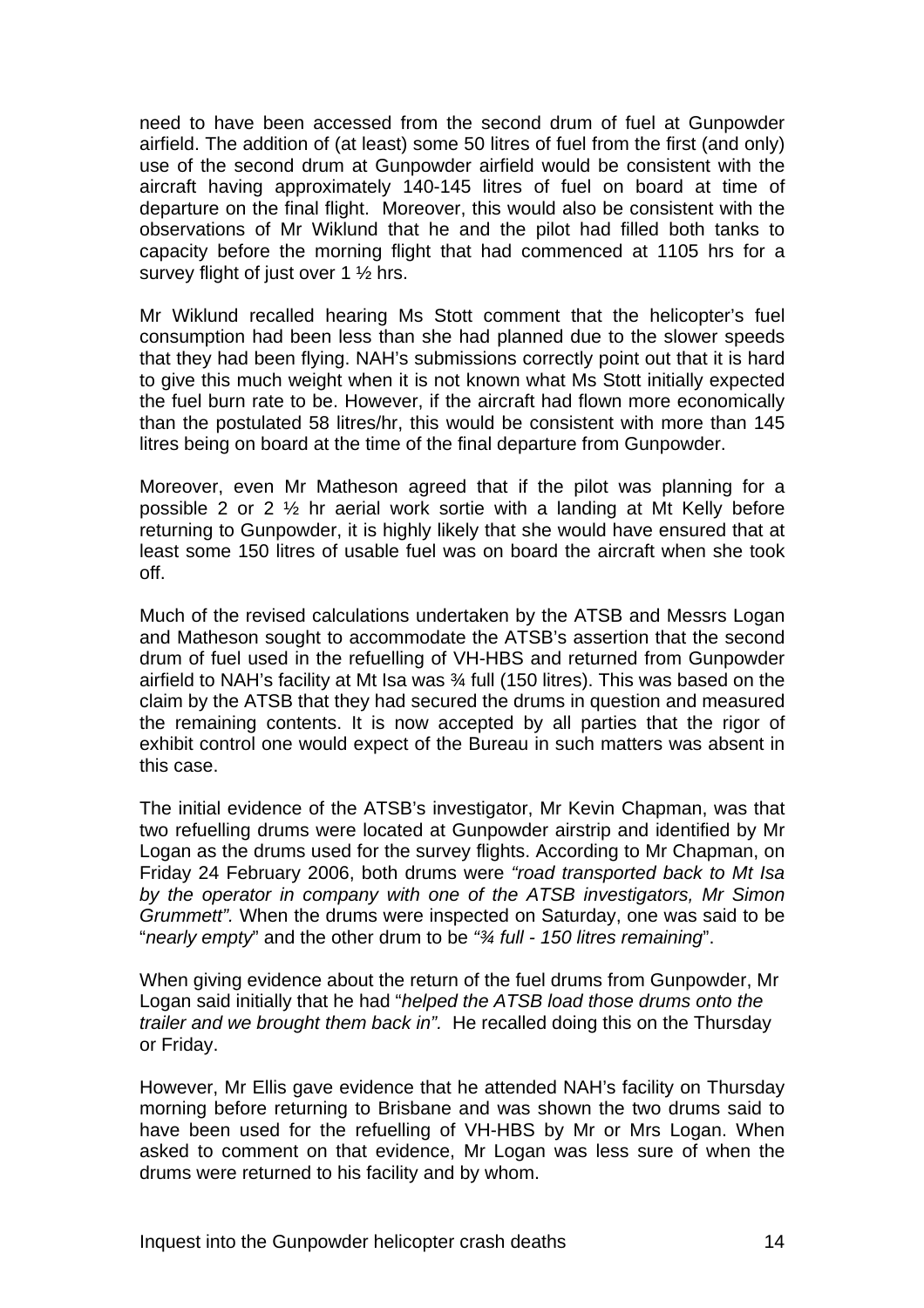need to have been accessed from the second drum of fuel at Gunpowder airfield. The addition of (at least) some 50 litres of fuel from the first (and only) use of the second drum at Gunpowder airfield would be consistent with the aircraft having approximately 140-145 litres of fuel on board at time of departure on the final flight. Moreover, this would also be consistent with the observations of Mr Wiklund that he and the pilot had filled both tanks to capacity before the morning flight that had commenced at 1105 hrs for a survey flight of just over 1 1/2 hrs.

Mr Wiklund recalled hearing Ms Stott comment that the helicopter's fuel consumption had been less than she had planned due to the slower speeds that they had been flying. NAH's submissions correctly point out that it is hard to give this much weight when it is not known what Ms Stott initially expected the fuel burn rate to be. However, if the aircraft had flown more economically than the postulated 58 litres/hr, this would be consistent with more than 145 litres being on board at the time of the final departure from Gunpowder.

Moreover, even Mr Matheson agreed that if the pilot was planning for a possible 2 or 2 ½ hr aerial work sortie with a landing at Mt Kelly before returning to Gunpowder, it is highly likely that she would have ensured that at least some 150 litres of usable fuel was on board the aircraft when she took off.

Much of the revised calculations undertaken by the ATSB and Messrs Logan and Matheson sought to accommodate the ATSB's assertion that the second drum of fuel used in the refuelling of VH-HBS and returned from Gunpowder airfield to NAH's facility at Mt Isa was ¾ full (150 litres). This was based on the claim by the ATSB that they had secured the drums in question and measured the remaining contents. It is now accepted by all parties that the rigor of exhibit control one would expect of the Bureau in such matters was absent in this case.

The initial evidence of the ATSB's investigator, Mr Kevin Chapman, was that two refuelling drums were located at Gunpowder airstrip and identified by Mr Logan as the drums used for the survey flights. According to Mr Chapman, on Friday 24 February 2006, both drums were *"road transported back to Mt Isa by the operator in company with one of the ATSB investigators, Mr Simon Grummett".* When the drums were inspected on Saturday, one was said to be "*nearly empty*" and the other drum to be *"¾ full - 150 litres remaining*".

When giving evidence about the return of the fuel drums from Gunpowder, Mr Logan said initially that he had "*helped the ATSB load those drums onto the trailer and we brought them back in".* He recalled doing this on the Thursday or Friday.

However, Mr Ellis gave evidence that he attended NAH's facility on Thursday morning before returning to Brisbane and was shown the two drums said to have been used for the refuelling of VH-HBS by Mr or Mrs Logan. When asked to comment on that evidence, Mr Logan was less sure of when the drums were returned to his facility and by whom.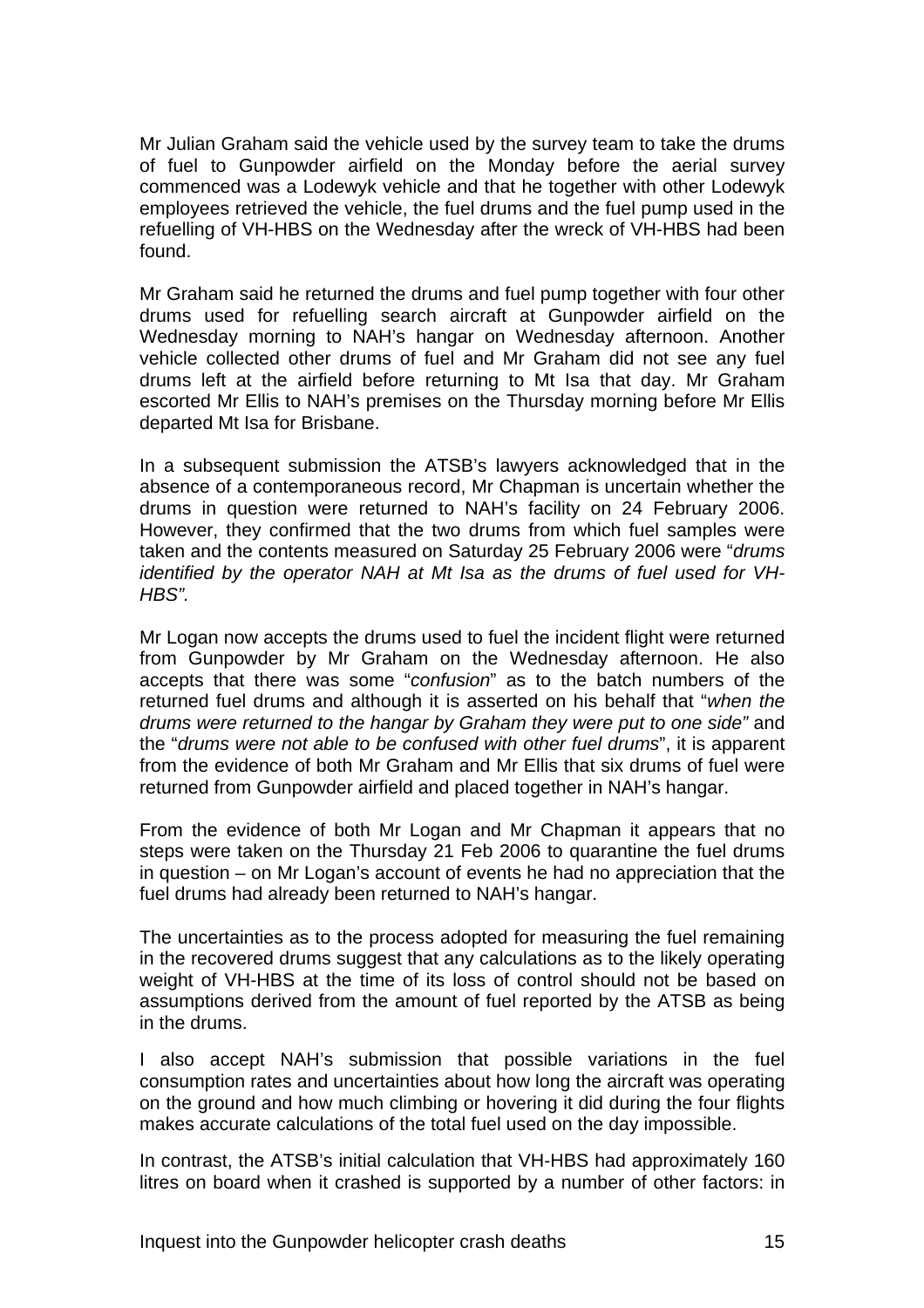Mr Julian Graham said the vehicle used by the survey team to take the drums of fuel to Gunpowder airfield on the Monday before the aerial survey commenced was a Lodewyk vehicle and that he together with other Lodewyk employees retrieved the vehicle, the fuel drums and the fuel pump used in the refuelling of VH-HBS on the Wednesday after the wreck of VH-HBS had been found.

Mr Graham said he returned the drums and fuel pump together with four other drums used for refuelling search aircraft at Gunpowder airfield on the Wednesday morning to NAH's hangar on Wednesday afternoon. Another vehicle collected other drums of fuel and Mr Graham did not see any fuel drums left at the airfield before returning to Mt Isa that day. Mr Graham escorted Mr Ellis to NAH's premises on the Thursday morning before Mr Ellis departed Mt Isa for Brisbane.

In a subsequent submission the ATSB's lawyers acknowledged that in the absence of a contemporaneous record, Mr Chapman is uncertain whether the drums in question were returned to NAH's facility on 24 February 2006. However, they confirmed that the two drums from which fuel samples were taken and the contents measured on Saturday 25 February 2006 were "*drums identified by the operator NAH at Mt Isa as the drums of fuel used for VH-HBS".* 

Mr Logan now accepts the drums used to fuel the incident flight were returned from Gunpowder by Mr Graham on the Wednesday afternoon. He also accepts that there was some "*confusion*" as to the batch numbers of the returned fuel drums and although it is asserted on his behalf that "*when the drums were returned to the hangar by Graham they were put to one side"* and the "*drums were not able to be confused with other fuel drums*", it is apparent from the evidence of both Mr Graham and Mr Ellis that six drums of fuel were returned from Gunpowder airfield and placed together in NAH's hangar.

From the evidence of both Mr Logan and Mr Chapman it appears that no steps were taken on the Thursday 21 Feb 2006 to quarantine the fuel drums in question – on Mr Logan's account of events he had no appreciation that the fuel drums had already been returned to NAH's hangar.

The uncertainties as to the process adopted for measuring the fuel remaining in the recovered drums suggest that any calculations as to the likely operating weight of VH-HBS at the time of its loss of control should not be based on assumptions derived from the amount of fuel reported by the ATSB as being in the drums.

I also accept NAH's submission that possible variations in the fuel consumption rates and uncertainties about how long the aircraft was operating on the ground and how much climbing or hovering it did during the four flights makes accurate calculations of the total fuel used on the day impossible.

In contrast, the ATSB's initial calculation that VH-HBS had approximately 160 litres on board when it crashed is supported by a number of other factors: in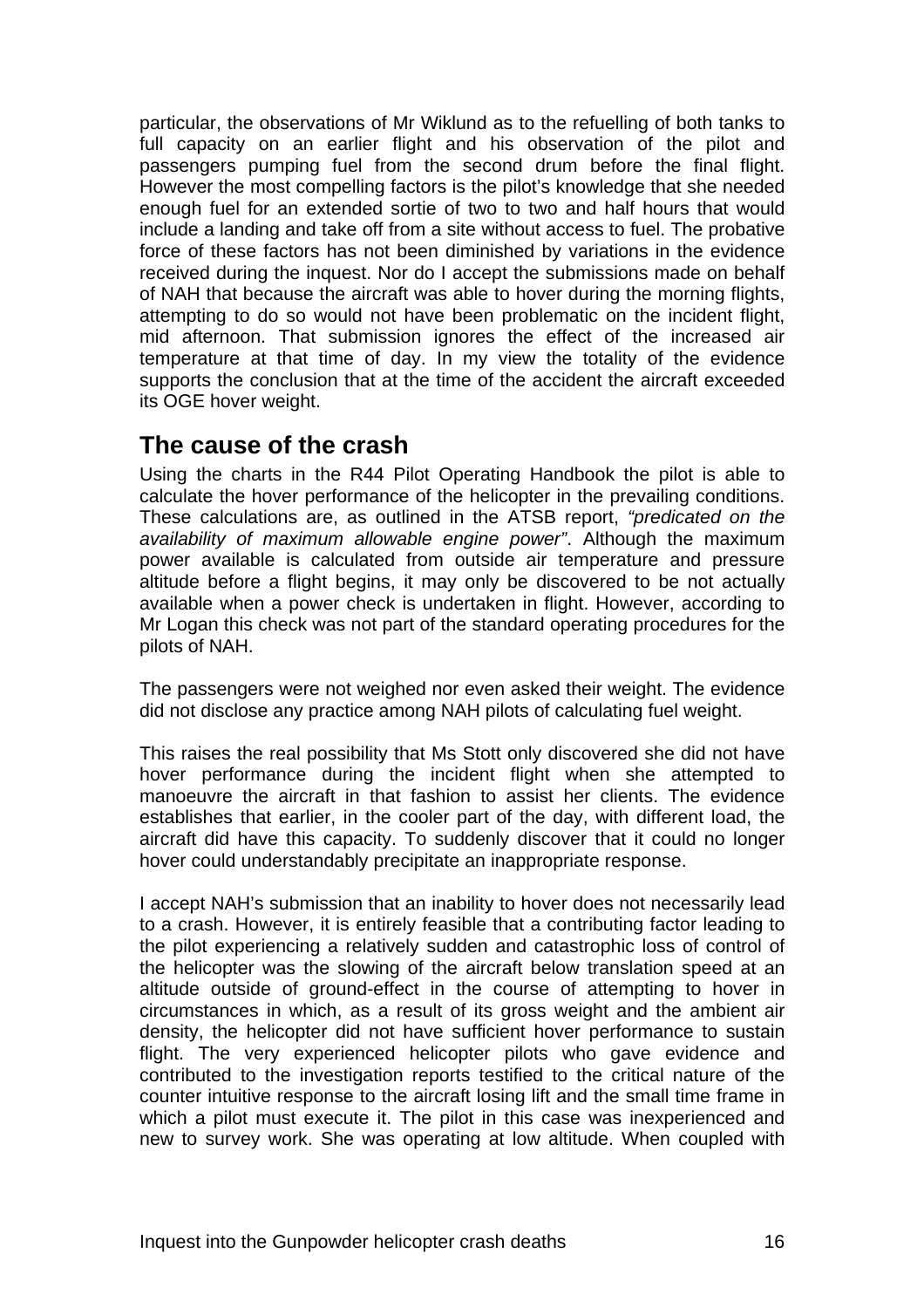<span id="page-17-0"></span>particular, the observations of Mr Wiklund as to the refuelling of both tanks to full capacity on an earlier flight and his observation of the pilot and passengers pumping fuel from the second drum before the final flight. However the most compelling factors is the pilot's knowledge that she needed enough fuel for an extended sortie of two to two and half hours that would include a landing and take off from a site without access to fuel. The probative force of these factors has not been diminished by variations in the evidence received during the inquest. Nor do I accept the submissions made on behalf of NAH that because the aircraft was able to hover during the morning flights, attempting to do so would not have been problematic on the incident flight, mid afternoon. That submission ignores the effect of the increased air temperature at that time of day. In my view the totality of the evidence supports the conclusion that at the time of the accident the aircraft exceeded its OGE hover weight.

### **The cause of the crash**

Using the charts in the R44 Pilot Operating Handbook the pilot is able to calculate the hover performance of the helicopter in the prevailing conditions. These calculations are, as outlined in the ATSB report, *"predicated on the availability of maximum allowable engine power"*. Although the maximum power available is calculated from outside air temperature and pressure altitude before a flight begins, it may only be discovered to be not actually available when a power check is undertaken in flight. However, according to Mr Logan this check was not part of the standard operating procedures for the pilots of NAH.

The passengers were not weighed nor even asked their weight. The evidence did not disclose any practice among NAH pilots of calculating fuel weight.

This raises the real possibility that Ms Stott only discovered she did not have hover performance during the incident flight when she attempted to manoeuvre the aircraft in that fashion to assist her clients. The evidence establishes that earlier, in the cooler part of the day, with different load, the aircraft did have this capacity. To suddenly discover that it could no longer hover could understandably precipitate an inappropriate response.

I accept NAH's submission that an inability to hover does not necessarily lead to a crash. However, it is entirely feasible that a contributing factor leading to the pilot experiencing a relatively sudden and catastrophic loss of control of the helicopter was the slowing of the aircraft below translation speed at an altitude outside of ground-effect in the course of attempting to hover in circumstances in which, as a result of its gross weight and the ambient air density, the helicopter did not have sufficient hover performance to sustain flight. The very experienced helicopter pilots who gave evidence and contributed to the investigation reports testified to the critical nature of the counter intuitive response to the aircraft losing lift and the small time frame in which a pilot must execute it. The pilot in this case was inexperienced and new to survey work. She was operating at low altitude. When coupled with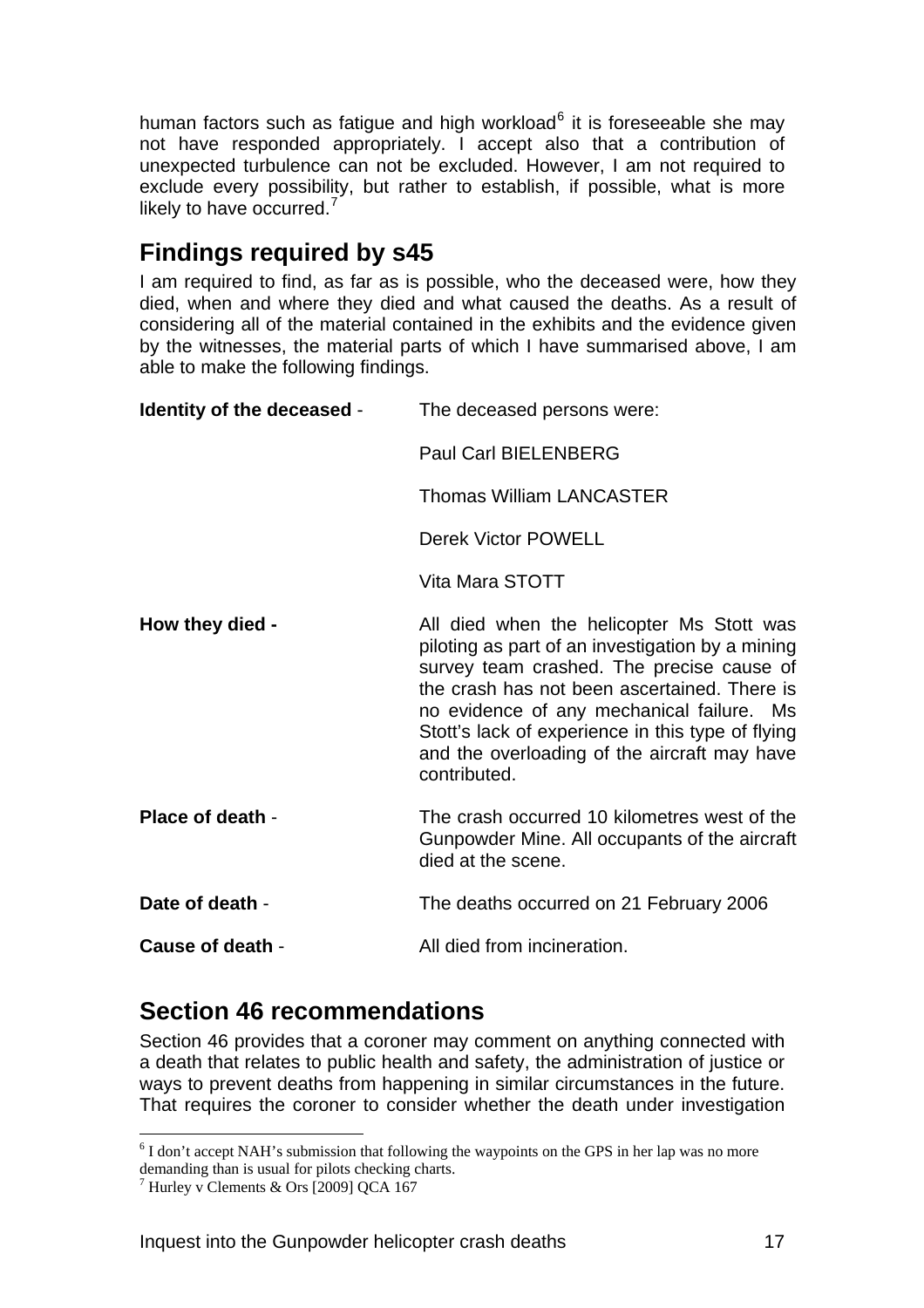<span id="page-18-0"></span>human factors such as fatigue and high workload<sup>[6](#page-18-1)</sup> it is foreseeable she may not have responded appropriately. I accept also that a contribution of unexpected turbulence can not be excluded. However, I am not required to exclude every possibility, but rather to establish, if possible, what is more likely to have occurred.<sup>[7](#page-18-2)</sup>

## **Findings required by s45**

I am required to find, as far as is possible, who the deceased were, how they died, when and where they died and what caused the deaths. As a result of considering all of the material contained in the exhibits and the evidence given by the witnesses, the material parts of which I have summarised above, I am able to make the following findings.

| Identity of the deceased - | The deceased persons were:                                                                                                                                                                                                                                                                                                                                   |
|----------------------------|--------------------------------------------------------------------------------------------------------------------------------------------------------------------------------------------------------------------------------------------------------------------------------------------------------------------------------------------------------------|
|                            | <b>Paul Carl BIELENBERG</b>                                                                                                                                                                                                                                                                                                                                  |
|                            | <b>Thomas William LANCASTER</b>                                                                                                                                                                                                                                                                                                                              |
|                            | <b>Derek Victor POWELL</b>                                                                                                                                                                                                                                                                                                                                   |
|                            | Vita Mara STOTT                                                                                                                                                                                                                                                                                                                                              |
| How they died -            | All died when the helicopter Ms Stott was<br>piloting as part of an investigation by a mining<br>survey team crashed. The precise cause of<br>the crash has not been ascertained. There is<br>no evidence of any mechanical failure. Ms<br>Stott's lack of experience in this type of flying<br>and the overloading of the aircraft may have<br>contributed. |
| Place of death -           | The crash occurred 10 kilometres west of the<br>Gunpowder Mine. All occupants of the aircraft<br>died at the scene.                                                                                                                                                                                                                                          |
| Date of death -            | The deaths occurred on 21 February 2006                                                                                                                                                                                                                                                                                                                      |
| Cause of death -           | All died from incineration.                                                                                                                                                                                                                                                                                                                                  |

### **Section 46 recommendations**

Section 46 provides that a coroner may comment on anything connected with a death that relates to public health and safety, the administration of justice or ways to prevent deaths from happening in similar circumstances in the future. That requires the coroner to consider whether the death under investigation

 $\overline{a}$ 

<span id="page-18-1"></span><sup>&</sup>lt;sup>6</sup> I don't accept NAH's submission that following the waypoints on the GPS in her lap was no more demanding than is usual for pilots checking charts.

<span id="page-18-2"></span><sup>7</sup> Hurley v Clements & Ors [2009] QCA 167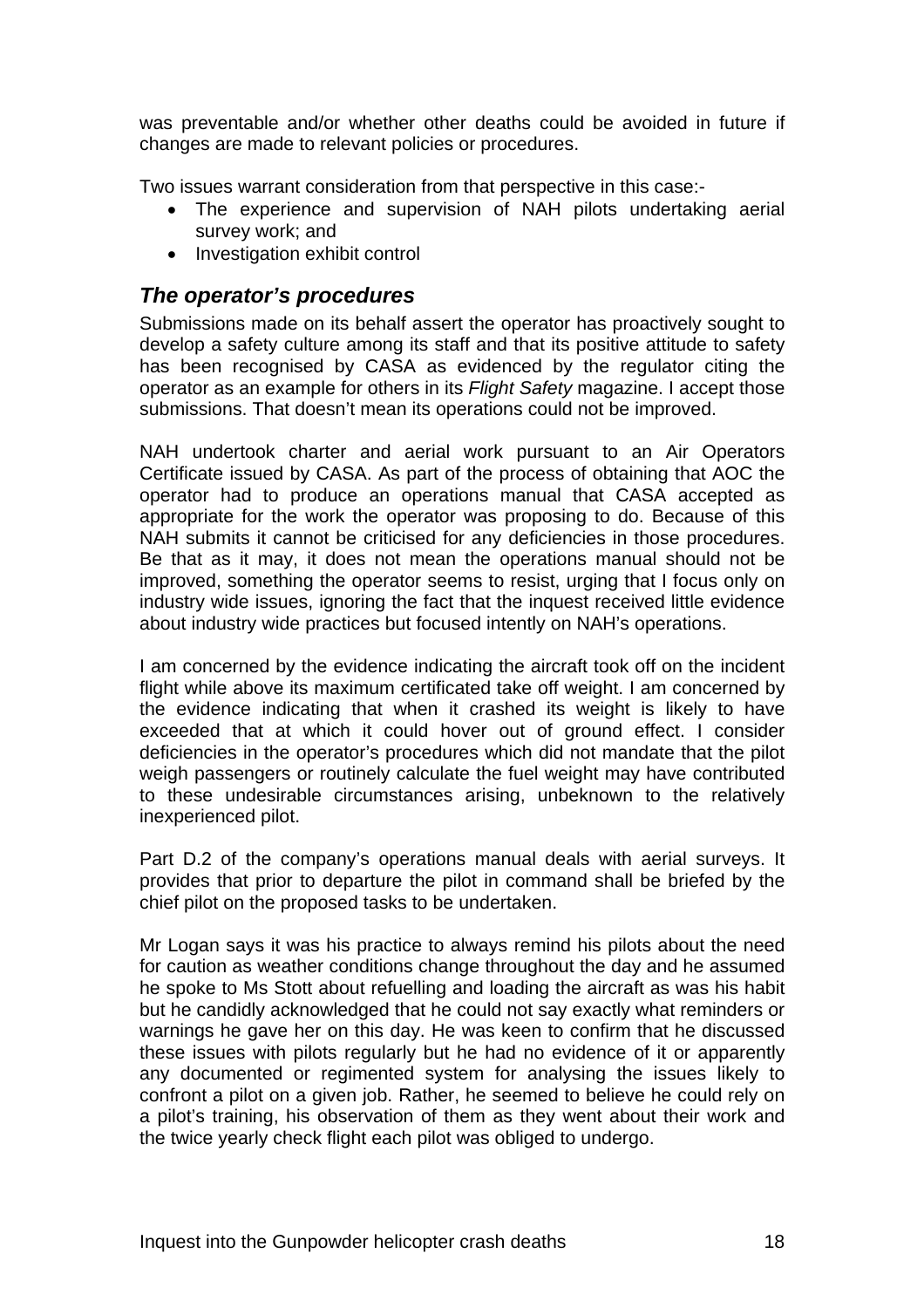<span id="page-19-0"></span>was preventable and/or whether other deaths could be avoided in future if changes are made to relevant policies or procedures.

Two issues warrant consideration from that perspective in this case:-

- The experience and supervision of NAH pilots undertaking aerial survey work; and
- Investigation exhibit control

#### *The operator's procedures*

Submissions made on its behalf assert the operator has proactively sought to develop a safety culture among its staff and that its positive attitude to safety has been recognised by CASA as evidenced by the regulator citing the operator as an example for others in its *Flight Safety* magazine. I accept those submissions. That doesn't mean its operations could not be improved.

NAH undertook charter and aerial work pursuant to an Air Operators Certificate issued by CASA. As part of the process of obtaining that AOC the operator had to produce an operations manual that CASA accepted as appropriate for the work the operator was proposing to do. Because of this NAH submits it cannot be criticised for any deficiencies in those procedures. Be that as it may, it does not mean the operations manual should not be improved, something the operator seems to resist, urging that I focus only on industry wide issues, ignoring the fact that the inquest received little evidence about industry wide practices but focused intently on NAH's operations.

I am concerned by the evidence indicating the aircraft took off on the incident flight while above its maximum certificated take off weight. I am concerned by the evidence indicating that when it crashed its weight is likely to have exceeded that at which it could hover out of ground effect. I consider deficiencies in the operator's procedures which did not mandate that the pilot weigh passengers or routinely calculate the fuel weight may have contributed to these undesirable circumstances arising, unbeknown to the relatively inexperienced pilot.

Part D.2 of the company's operations manual deals with aerial surveys. It provides that prior to departure the pilot in command shall be briefed by the chief pilot on the proposed tasks to be undertaken.

Mr Logan says it was his practice to always remind his pilots about the need for caution as weather conditions change throughout the day and he assumed he spoke to Ms Stott about refuelling and loading the aircraft as was his habit but he candidly acknowledged that he could not say exactly what reminders or warnings he gave her on this day. He was keen to confirm that he discussed these issues with pilots regularly but he had no evidence of it or apparently any documented or regimented system for analysing the issues likely to confront a pilot on a given job. Rather, he seemed to believe he could rely on a pilot's training, his observation of them as they went about their work and the twice yearly check flight each pilot was obliged to undergo.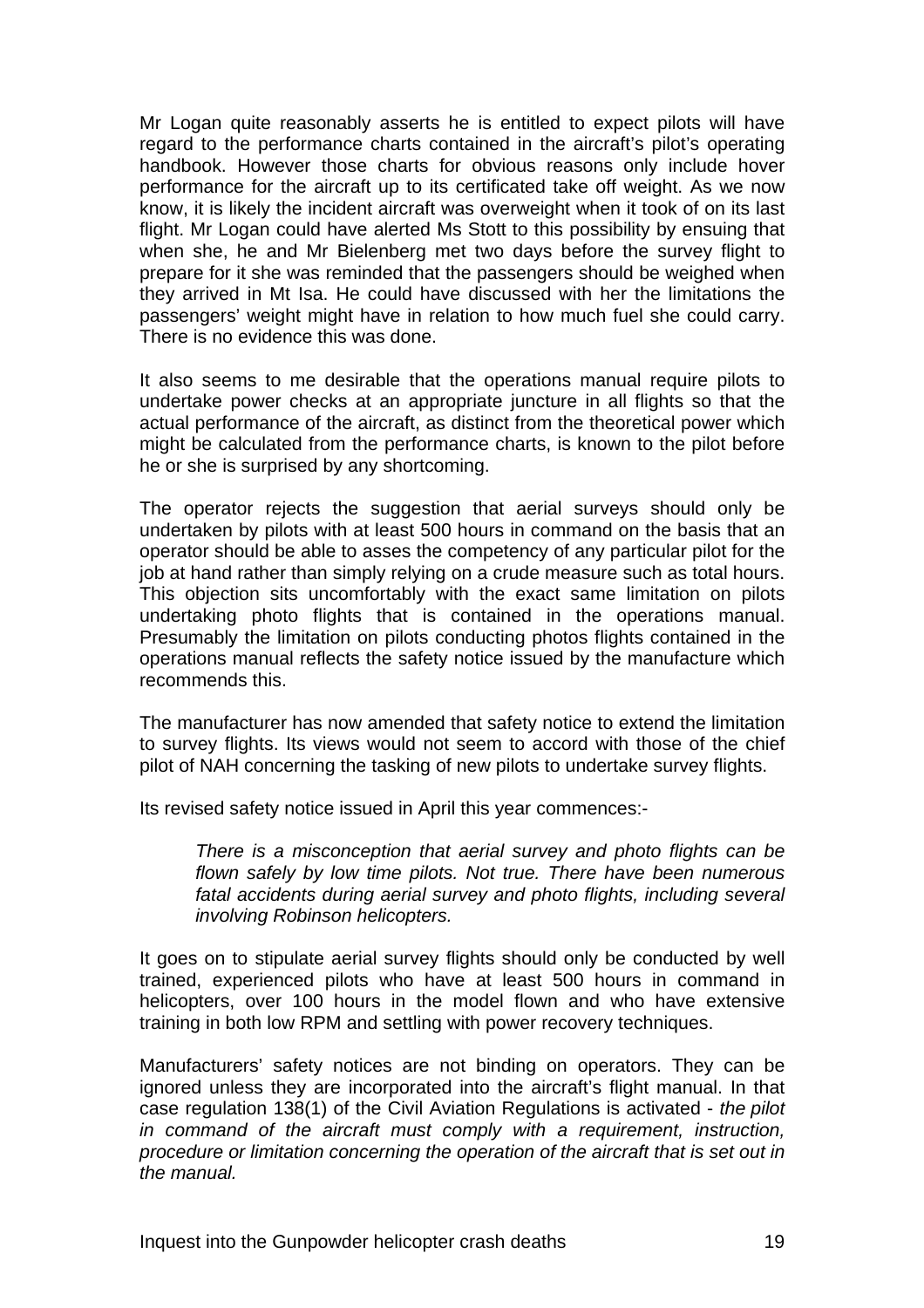Mr Logan quite reasonably asserts he is entitled to expect pilots will have regard to the performance charts contained in the aircraft's pilot's operating handbook. However those charts for obvious reasons only include hover performance for the aircraft up to its certificated take off weight. As we now know, it is likely the incident aircraft was overweight when it took of on its last flight. Mr Logan could have alerted Ms Stott to this possibility by ensuing that when she, he and Mr Bielenberg met two days before the survey flight to prepare for it she was reminded that the passengers should be weighed when they arrived in Mt Isa. He could have discussed with her the limitations the passengers' weight might have in relation to how much fuel she could carry. There is no evidence this was done.

It also seems to me desirable that the operations manual require pilots to undertake power checks at an appropriate juncture in all flights so that the actual performance of the aircraft, as distinct from the theoretical power which might be calculated from the performance charts, is known to the pilot before he or she is surprised by any shortcoming.

The operator rejects the suggestion that aerial surveys should only be undertaken by pilots with at least 500 hours in command on the basis that an operator should be able to asses the competency of any particular pilot for the job at hand rather than simply relying on a crude measure such as total hours. This objection sits uncomfortably with the exact same limitation on pilots undertaking photo flights that is contained in the operations manual. Presumably the limitation on pilots conducting photos flights contained in the operations manual reflects the safety notice issued by the manufacture which recommends this.

The manufacturer has now amended that safety notice to extend the limitation to survey flights. Its views would not seem to accord with those of the chief pilot of NAH concerning the tasking of new pilots to undertake survey flights.

Its revised safety notice issued in April this year commences:-

*There is a misconception that aerial survey and photo flights can be flown safely by low time pilots. Not true. There have been numerous fatal accidents during aerial survey and photo flights, including several involving Robinson helicopters.* 

It goes on to stipulate aerial survey flights should only be conducted by well trained, experienced pilots who have at least 500 hours in command in helicopters, over 100 hours in the model flown and who have extensive training in both low RPM and settling with power recovery techniques.

Manufacturers' safety notices are not binding on operators. They can be ignored unless they are incorporated into the aircraft's flight manual. In that case regulation 138(1) of the Civil Aviation Regulations is activated - *the pilot in command of the aircraft must comply with a requirement, instruction, procedure or limitation concerning the operation of the aircraft that is set out in the manual.*